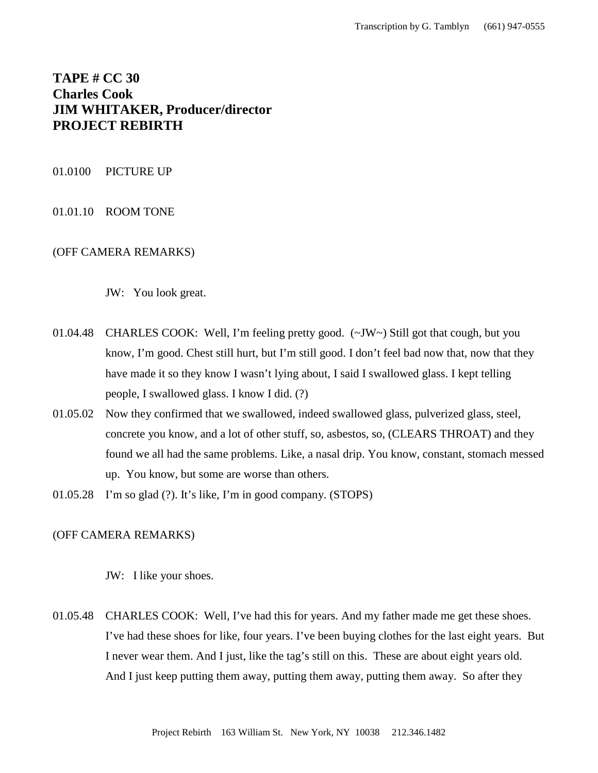# **TAPE # CC 30 Charles Cook JIM WHITAKER, Producer/director PROJECT REBIRTH**

## 01.0100 PICTURE UP

# 01.01.10 ROOM TONE

# (OFF CAMERA REMARKS)

JW: You look great.

- 01.04.48 CHARLES COOK: Well, I'm feeling pretty good. (~JW~) Still got that cough, but you know, I'm good. Chest still hurt, but I'm still good. I don't feel bad now that, now that they have made it so they know I wasn't lying about, I said I swallowed glass. I kept telling people, I swallowed glass. I know I did. (?)
- 01.05.02 Now they confirmed that we swallowed, indeed swallowed glass, pulverized glass, steel, concrete you know, and a lot of other stuff, so, asbestos, so, (CLEARS THROAT) and they found we all had the same problems. Like, a nasal drip. You know, constant, stomach messed up. You know, but some are worse than others.
- 01.05.28 I'm so glad (?). It's like, I'm in good company. (STOPS)

## (OFF CAMERA REMARKS)

JW: I like your shoes.

01.05.48 CHARLES COOK: Well, I've had this for years. And my father made me get these shoes. I've had these shoes for like, four years. I've been buying clothes for the last eight years. But I never wear them. And I just, like the tag's still on this. These are about eight years old. And I just keep putting them away, putting them away, putting them away. So after they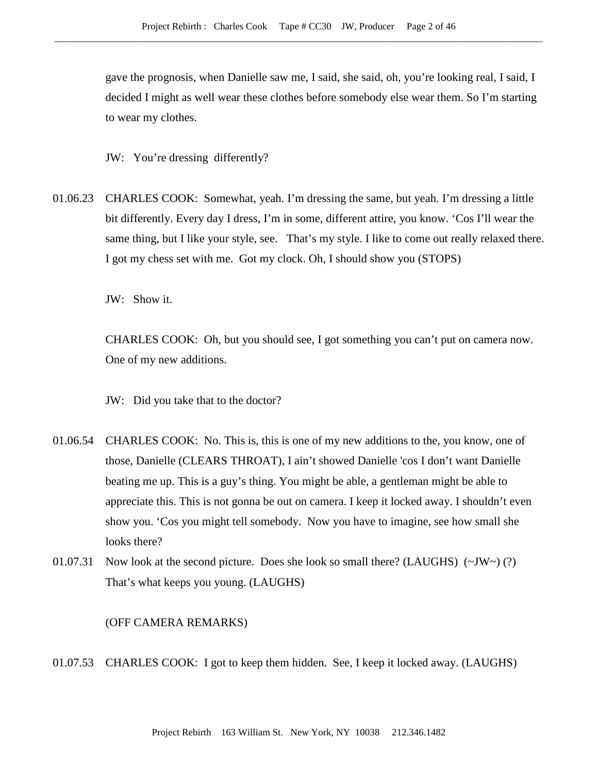gave the prognosis, when Danielle saw me, I said, she said, oh, you're looking real, I said, I decided I might as well wear these clothes before somebody else wear them. So I'm starting to wear my clothes.

JW: You're dressing differently?

01.06.23 CHARLES COOK: Somewhat, yeah. I'm dressing the same, but yeah. I'm dressing a little bit differently. Every day I dress, I'm in some, different attire, you know. 'Cos I'll wear the same thing, but I like your style, see. That's my style. I like to come out really relaxed there. I got my chess set with me. Got my clock. Oh, I should show you (STOPS)

JW: Show it.

CHARLES COOK: Oh, but you should see, I got something you can't put on camera now. One of my new additions.

JW: Did you take that to the doctor?

- 01.06.54 CHARLES COOK: No. This is, this is one of my new additions to the, you know, one of those, Danielle (CLEARS THROAT), I ain't showed Danielle 'cos I don't want Danielle beating me up. This is a guy's thing. You might be able, a gentleman might be able to appreciate this. This is not gonna be out on camera. I keep it locked away. I shouldn't even show you. 'Cos you might tell somebody. Now you have to imagine, see how small she looks there?
- 01.07.31 Now look at the second picture. Does she look so small there? (LAUGHS)  $(\sim JW \sim)$  (?) That's what keeps you young. (LAUGHS)

(OFF CAMERA REMARKS)

01.07.53 CHARLES COOK: I got to keep them hidden. See, I keep it locked away. (LAUGHS)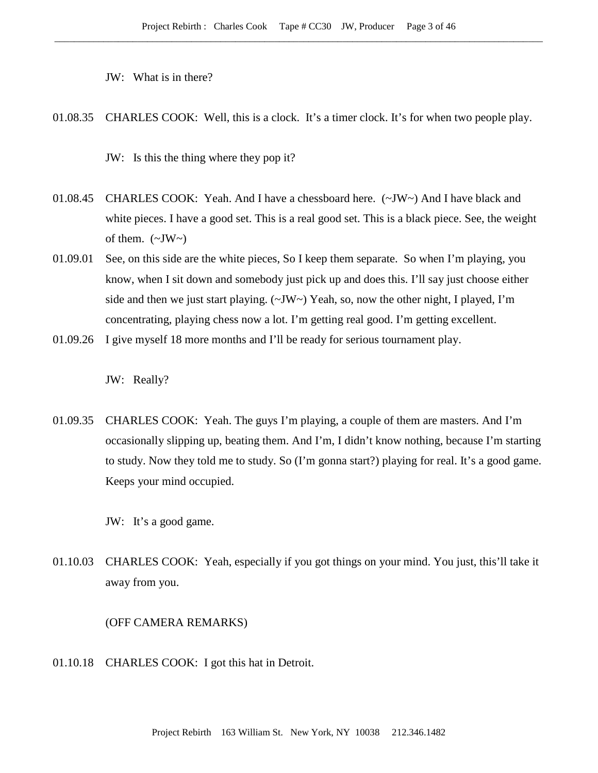JW: What is in there?

01.08.35 CHARLES COOK: Well, this is a clock. It's a timer clock. It's for when two people play.

JW: Is this the thing where they pop it?

- 01.08.45 CHARLES COOK: Yeah. And I have a chessboard here. (~JW~) And I have black and white pieces. I have a good set. This is a real good set. This is a black piece. See, the weight of them.  $(\sim JW \sim)$
- 01.09.01 See, on this side are the white pieces, So I keep them separate. So when I'm playing, you know, when I sit down and somebody just pick up and does this. I'll say just choose either side and then we just start playing.  $(\sim JW \sim)$  Yeah, so, now the other night, I played, I'm concentrating, playing chess now a lot. I'm getting real good. I'm getting excellent.
- 01.09.26 I give myself 18 more months and I'll be ready for serious tournament play.

JW: Really?

01.09.35 CHARLES COOK: Yeah. The guys I'm playing, a couple of them are masters. And I'm occasionally slipping up, beating them. And I'm, I didn't know nothing, because I'm starting to study. Now they told me to study. So (I'm gonna start?) playing for real. It's a good game. Keeps your mind occupied.

JW: It's a good game.

01.10.03 CHARLES COOK: Yeah, especially if you got things on your mind. You just, this'll take it away from you.

## (OFF CAMERA REMARKS)

01.10.18 CHARLES COOK: I got this hat in Detroit.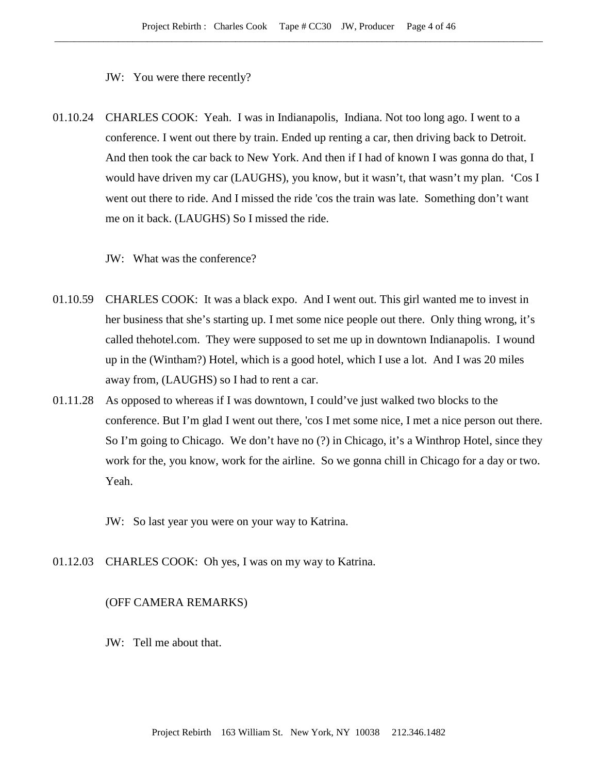JW: You were there recently?

01.10.24 CHARLES COOK: Yeah. I was in Indianapolis, Indiana. Not too long ago. I went to a conference. I went out there by train. Ended up renting a car, then driving back to Detroit. And then took the car back to New York. And then if I had of known I was gonna do that, I would have driven my car (LAUGHS), you know, but it wasn't, that wasn't my plan. 'Cos I went out there to ride. And I missed the ride 'cos the train was late. Something don't want me on it back. (LAUGHS) So I missed the ride.

JW: What was the conference?

- 01.10.59 CHARLES COOK: It was a black expo. And I went out. This girl wanted me to invest in her business that she's starting up. I met some nice people out there. Only thing wrong, it's called thehotel.com. They were supposed to set me up in downtown Indianapolis. I wound up in the (Wintham?) Hotel, which is a good hotel, which I use a lot. And I was 20 miles away from, (LAUGHS) so I had to rent a car.
- 01.11.28 As opposed to whereas if I was downtown, I could've just walked two blocks to the conference. But I'm glad I went out there, 'cos I met some nice, I met a nice person out there. So I'm going to Chicago. We don't have no (?) in Chicago, it's a Winthrop Hotel, since they work for the, you know, work for the airline. So we gonna chill in Chicago for a day or two. Yeah.
	- JW: So last year you were on your way to Katrina.
- 01.12.03 CHARLES COOK: Oh yes, I was on my way to Katrina.

#### (OFF CAMERA REMARKS)

JW: Tell me about that.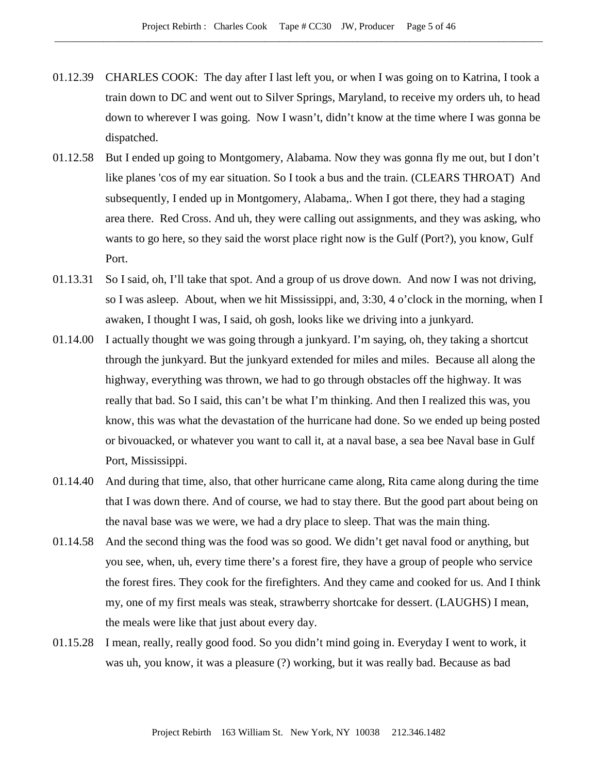- 01.12.39 CHARLES COOK: The day after I last left you, or when I was going on to Katrina, I took a train down to DC and went out to Silver Springs, Maryland, to receive my orders uh, to head down to wherever I was going. Now I wasn't, didn't know at the time where I was gonna be dispatched.
- 01.12.58 But I ended up going to Montgomery, Alabama. Now they was gonna fly me out, but I don't like planes 'cos of my ear situation. So I took a bus and the train. (CLEARS THROAT) And subsequently, I ended up in Montgomery, Alabama,. When I got there, they had a staging area there. Red Cross. And uh, they were calling out assignments, and they was asking, who wants to go here, so they said the worst place right now is the Gulf (Port?), you know, Gulf Port.
- 01.13.31 So I said, oh, I'll take that spot. And a group of us drove down. And now I was not driving, so I was asleep. About, when we hit Mississippi, and, 3:30, 4 o'clock in the morning, when I awaken, I thought I was, I said, oh gosh, looks like we driving into a junkyard.
- 01.14.00 I actually thought we was going through a junkyard. I'm saying, oh, they taking a shortcut through the junkyard. But the junkyard extended for miles and miles. Because all along the highway, everything was thrown, we had to go through obstacles off the highway. It was really that bad. So I said, this can't be what I'm thinking. And then I realized this was, you know, this was what the devastation of the hurricane had done. So we ended up being posted or bivouacked, or whatever you want to call it, at a naval base, a sea bee Naval base in Gulf Port, Mississippi.
- 01.14.40 And during that time, also, that other hurricane came along, Rita came along during the time that I was down there. And of course, we had to stay there. But the good part about being on the naval base was we were, we had a dry place to sleep. That was the main thing.
- 01.14.58 And the second thing was the food was so good. We didn't get naval food or anything, but you see, when, uh, every time there's a forest fire, they have a group of people who service the forest fires. They cook for the firefighters. And they came and cooked for us. And I think my, one of my first meals was steak, strawberry shortcake for dessert. (LAUGHS) I mean, the meals were like that just about every day.
- 01.15.28 I mean, really, really good food. So you didn't mind going in. Everyday I went to work, it was uh, you know, it was a pleasure (?) working, but it was really bad. Because as bad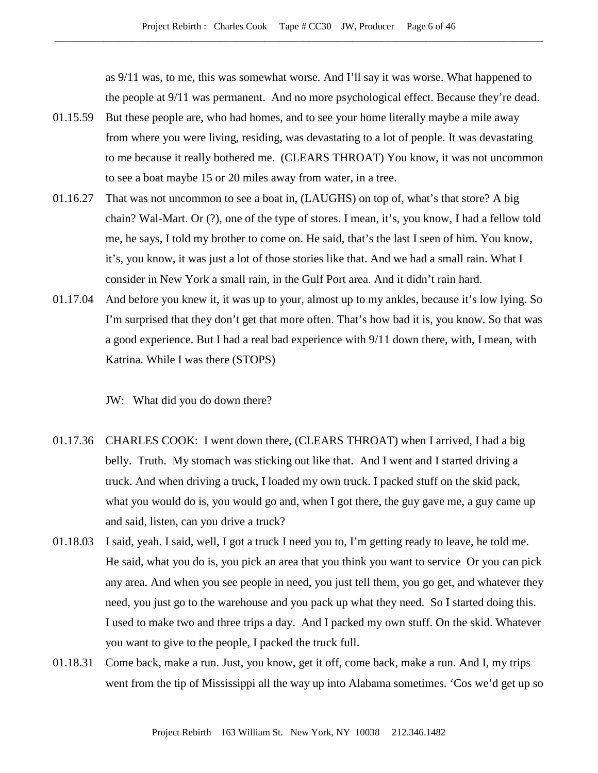as 9/11 was, to me, this was somewhat worse. And I'll say it was worse. What happened to the people at 9/11 was permanent. And no more psychological effect. Because they're dead.

- 01.15.59 But these people are, who had homes, and to see your home literally maybe a mile away from where you were living, residing, was devastating to a lot of people. It was devastating to me because it really bothered me. (CLEARS THROAT) You know, it was not uncommon to see a boat maybe 15 or 20 miles away from water, in a tree.
- 01.16.27 That was not uncommon to see a boat in, (LAUGHS) on top of, what's that store? A big chain? Wal-Mart. Or (?), one of the type of stores. I mean, it's, you know, I had a fellow told me, he says, I told my brother to come on. He said, that's the last I seen of him. You know, it's, you know, it was just a lot of those stories like that. And we had a small rain. What I consider in New York a small rain, in the Gulf Port area. And it didn't rain hard.
- 01.17.04 And before you knew it, it was up to your, almost up to my ankles, because it's low lying. So I'm surprised that they don't get that more often. That's how bad it is, you know. So that was a good experience. But I had a real bad experience with 9/11 down there, with, I mean, with Katrina. While I was there (STOPS)
	- JW: What did you do down there?
- 01.17.36 CHARLES COOK: I went down there, (CLEARS THROAT) when I arrived, I had a big belly. Truth. My stomach was sticking out like that. And I went and I started driving a truck. And when driving a truck, I loaded my own truck. I packed stuff on the skid pack, what you would do is, you would go and, when I got there, the guy gave me, a guy came up and said, listen, can you drive a truck?
- 01.18.03 I said, yeah. I said, well, I got a truck I need you to, I'm getting ready to leave, he told me. He said, what you do is, you pick an area that you think you want to service Or you can pick any area. And when you see people in need, you just tell them, you go get, and whatever they need, you just go to the warehouse and you pack up what they need. So I started doing this. I used to make two and three trips a day. And I packed my own stuff. On the skid. Whatever you want to give to the people, I packed the truck full.
- 01.18.31 Come back, make a run. Just, you know, get it off, come back, make a run. And I, my trips went from the tip of Mississippi all the way up into Alabama sometimes. 'Cos we'd get up so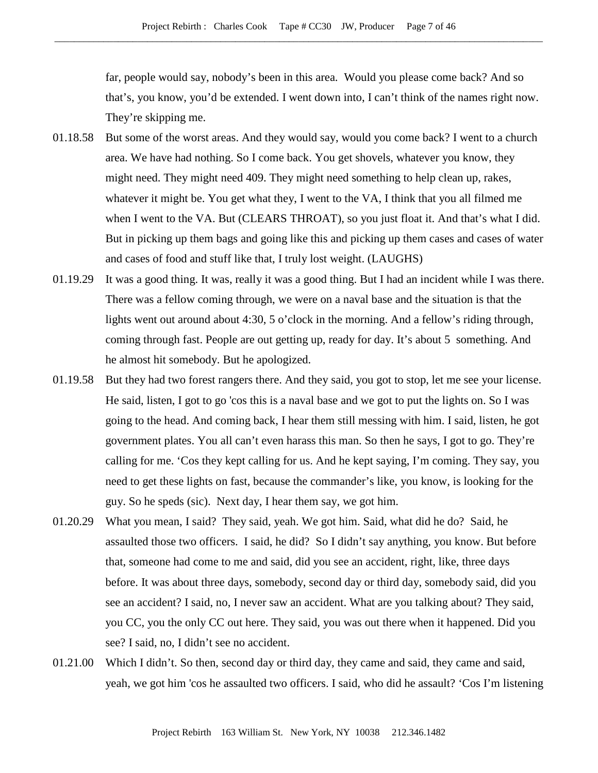far, people would say, nobody's been in this area. Would you please come back? And so that's, you know, you'd be extended. I went down into, I can't think of the names right now. They're skipping me.

- 01.18.58 But some of the worst areas. And they would say, would you come back? I went to a church area. We have had nothing. So I come back. You get shovels, whatever you know, they might need. They might need 409. They might need something to help clean up, rakes, whatever it might be. You get what they, I went to the VA, I think that you all filmed me when I went to the VA. But (CLEARS THROAT), so you just float it. And that's what I did. But in picking up them bags and going like this and picking up them cases and cases of water and cases of food and stuff like that, I truly lost weight. (LAUGHS)
- 01.19.29 It was a good thing. It was, really it was a good thing. But I had an incident while I was there. There was a fellow coming through, we were on a naval base and the situation is that the lights went out around about 4:30, 5 o'clock in the morning. And a fellow's riding through, coming through fast. People are out getting up, ready for day. It's about 5 something. And he almost hit somebody. But he apologized.
- 01.19.58 But they had two forest rangers there. And they said, you got to stop, let me see your license. He said, listen, I got to go 'cos this is a naval base and we got to put the lights on. So I was going to the head. And coming back, I hear them still messing with him. I said, listen, he got government plates. You all can't even harass this man. So then he says, I got to go. They're calling for me. 'Cos they kept calling for us. And he kept saying, I'm coming. They say, you need to get these lights on fast, because the commander's like, you know, is looking for the guy. So he speds (sic). Next day, I hear them say, we got him.
- 01.20.29 What you mean, I said? They said, yeah. We got him. Said, what did he do? Said, he assaulted those two officers. I said, he did? So I didn't say anything, you know. But before that, someone had come to me and said, did you see an accident, right, like, three days before. It was about three days, somebody, second day or third day, somebody said, did you see an accident? I said, no, I never saw an accident. What are you talking about? They said, you CC, you the only CC out here. They said, you was out there when it happened. Did you see? I said, no, I didn't see no accident.
- 01.21.00 Which I didn't. So then, second day or third day, they came and said, they came and said, yeah, we got him 'cos he assaulted two officers. I said, who did he assault? 'Cos I'm listening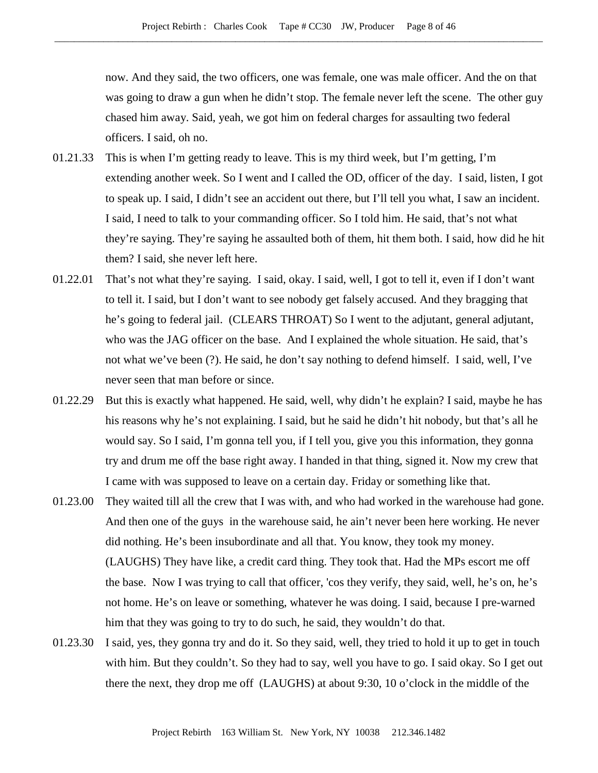now. And they said, the two officers, one was female, one was male officer. And the on that was going to draw a gun when he didn't stop. The female never left the scene. The other guy chased him away. Said, yeah, we got him on federal charges for assaulting two federal officers. I said, oh no.

- 01.21.33 This is when I'm getting ready to leave. This is my third week, but I'm getting, I'm extending another week. So I went and I called the OD, officer of the day. I said, listen, I got to speak up. I said, I didn't see an accident out there, but I'll tell you what, I saw an incident. I said, I need to talk to your commanding officer. So I told him. He said, that's not what they're saying. They're saying he assaulted both of them, hit them both. I said, how did he hit them? I said, she never left here.
- 01.22.01 That's not what they're saying. I said, okay. I said, well, I got to tell it, even if I don't want to tell it. I said, but I don't want to see nobody get falsely accused. And they bragging that he's going to federal jail. (CLEARS THROAT) So I went to the adjutant, general adjutant, who was the JAG officer on the base. And I explained the whole situation. He said, that's not what we've been (?). He said, he don't say nothing to defend himself. I said, well, I've never seen that man before or since.
- 01.22.29 But this is exactly what happened. He said, well, why didn't he explain? I said, maybe he has his reasons why he's not explaining. I said, but he said he didn't hit nobody, but that's all he would say. So I said, I'm gonna tell you, if I tell you, give you this information, they gonna try and drum me off the base right away. I handed in that thing, signed it. Now my crew that I came with was supposed to leave on a certain day. Friday or something like that.
- 01.23.00 They waited till all the crew that I was with, and who had worked in the warehouse had gone. And then one of the guys in the warehouse said, he ain't never been here working. He never did nothing. He's been insubordinate and all that. You know, they took my money. (LAUGHS) They have like, a credit card thing. They took that. Had the MPs escort me off the base. Now I was trying to call that officer, 'cos they verify, they said, well, he's on, he's not home. He's on leave or something, whatever he was doing. I said, because I pre-warned him that they was going to try to do such, he said, they wouldn't do that.
- 01.23.30 I said, yes, they gonna try and do it. So they said, well, they tried to hold it up to get in touch with him. But they couldn't. So they had to say, well you have to go. I said okay. So I get out there the next, they drop me off (LAUGHS) at about 9:30, 10 o'clock in the middle of the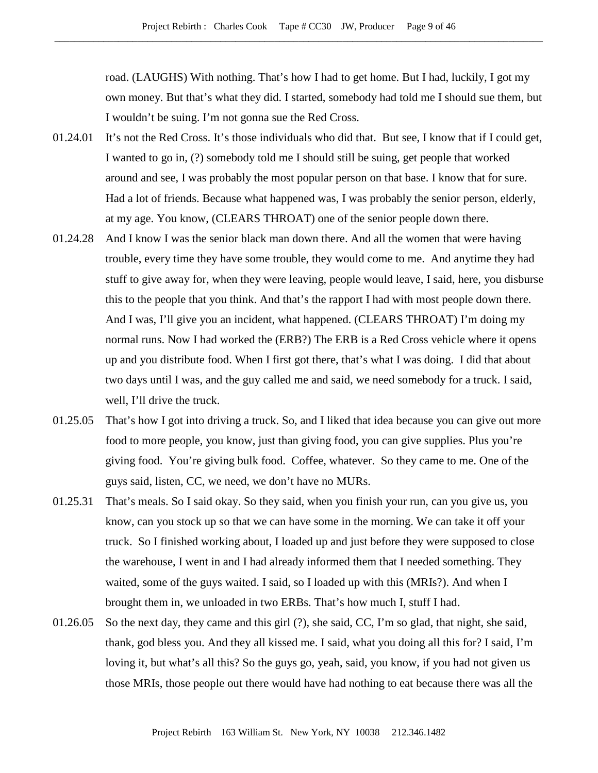road. (LAUGHS) With nothing. That's how I had to get home. But I had, luckily, I got my own money. But that's what they did. I started, somebody had told me I should sue them, but I wouldn't be suing. I'm not gonna sue the Red Cross.

- 01.24.01 It's not the Red Cross. It's those individuals who did that. But see, I know that if I could get, I wanted to go in, (?) somebody told me I should still be suing, get people that worked around and see, I was probably the most popular person on that base. I know that for sure. Had a lot of friends. Because what happened was, I was probably the senior person, elderly, at my age. You know, (CLEARS THROAT) one of the senior people down there.
- 01.24.28 And I know I was the senior black man down there. And all the women that were having trouble, every time they have some trouble, they would come to me. And anytime they had stuff to give away for, when they were leaving, people would leave, I said, here, you disburse this to the people that you think. And that's the rapport I had with most people down there. And I was, I'll give you an incident, what happened. (CLEARS THROAT) I'm doing my normal runs. Now I had worked the (ERB?) The ERB is a Red Cross vehicle where it opens up and you distribute food. When I first got there, that's what I was doing. I did that about two days until I was, and the guy called me and said, we need somebody for a truck. I said, well, I'll drive the truck.
- 01.25.05 That's how I got into driving a truck. So, and I liked that idea because you can give out more food to more people, you know, just than giving food, you can give supplies. Plus you're giving food. You're giving bulk food. Coffee, whatever. So they came to me. One of the guys said, listen, CC, we need, we don't have no MURs.
- 01.25.31 That's meals. So I said okay. So they said, when you finish your run, can you give us, you know, can you stock up so that we can have some in the morning. We can take it off your truck. So I finished working about, I loaded up and just before they were supposed to close the warehouse, I went in and I had already informed them that I needed something. They waited, some of the guys waited. I said, so I loaded up with this (MRIs?). And when I brought them in, we unloaded in two ERBs. That's how much I, stuff I had.
- 01.26.05 So the next day, they came and this girl (?), she said, CC, I'm so glad, that night, she said, thank, god bless you. And they all kissed me. I said, what you doing all this for? I said, I'm loving it, but what's all this? So the guys go, yeah, said, you know, if you had not given us those MRIs, those people out there would have had nothing to eat because there was all the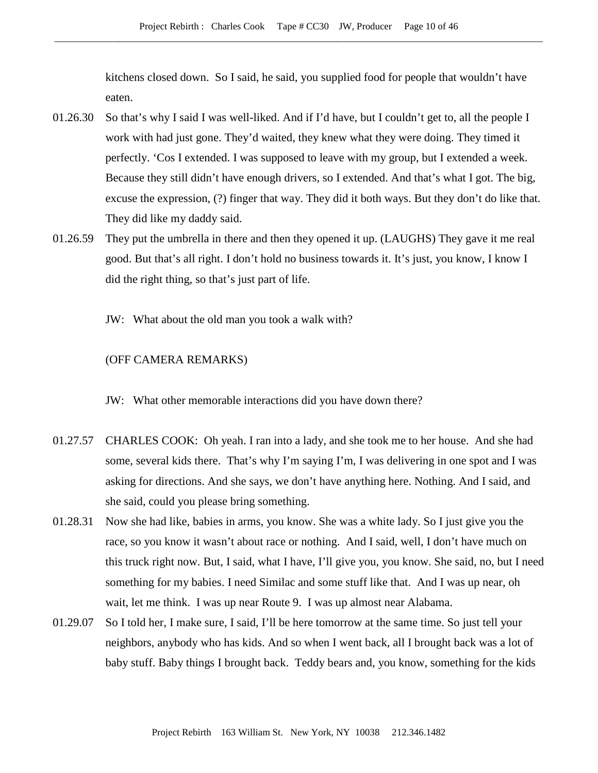kitchens closed down. So I said, he said, you supplied food for people that wouldn't have eaten.

- 01.26.30 So that's why I said I was well-liked. And if I'd have, but I couldn't get to, all the people I work with had just gone. They'd waited, they knew what they were doing. They timed it perfectly. 'Cos I extended. I was supposed to leave with my group, but I extended a week. Because they still didn't have enough drivers, so I extended. And that's what I got. The big, excuse the expression, (?) finger that way. They did it both ways. But they don't do like that. They did like my daddy said.
- 01.26.59 They put the umbrella in there and then they opened it up. (LAUGHS) They gave it me real good. But that's all right. I don't hold no business towards it. It's just, you know, I know I did the right thing, so that's just part of life.
	- JW: What about the old man you took a walk with?

## (OFF CAMERA REMARKS)

JW: What other memorable interactions did you have down there?

- 01.27.57 CHARLES COOK: Oh yeah. I ran into a lady, and she took me to her house. And she had some, several kids there. That's why I'm saying I'm, I was delivering in one spot and I was asking for directions. And she says, we don't have anything here. Nothing. And I said, and she said, could you please bring something.
- 01.28.31 Now she had like, babies in arms, you know. She was a white lady. So I just give you the race, so you know it wasn't about race or nothing. And I said, well, I don't have much on this truck right now. But, I said, what I have, I'll give you, you know. She said, no, but I need something for my babies. I need Similac and some stuff like that. And I was up near, oh wait, let me think. I was up near Route 9. I was up almost near Alabama.
- 01.29.07 So I told her, I make sure, I said, I'll be here tomorrow at the same time. So just tell your neighbors, anybody who has kids. And so when I went back, all I brought back was a lot of baby stuff. Baby things I brought back. Teddy bears and, you know, something for the kids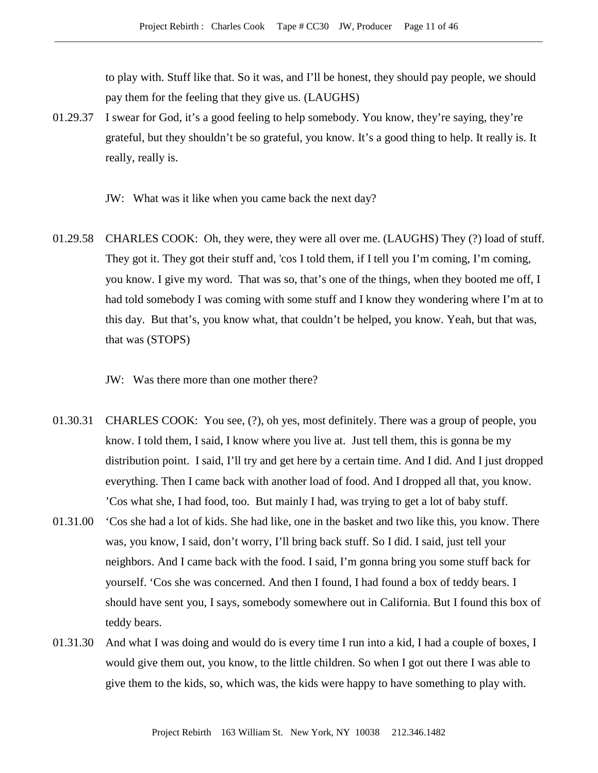to play with. Stuff like that. So it was, and I'll be honest, they should pay people, we should pay them for the feeling that they give us. (LAUGHS)

01.29.37 I swear for God, it's a good feeling to help somebody. You know, they're saying, they're grateful, but they shouldn't be so grateful, you know. It's a good thing to help. It really is. It really, really is.

JW: What was it like when you came back the next day?

- 01.29.58 CHARLES COOK: Oh, they were, they were all over me. (LAUGHS) They (?) load of stuff. They got it. They got their stuff and, 'cos I told them, if I tell you I'm coming, I'm coming, you know. I give my word. That was so, that's one of the things, when they booted me off, I had told somebody I was coming with some stuff and I know they wondering where I'm at to this day. But that's, you know what, that couldn't be helped, you know. Yeah, but that was, that was (STOPS)
	- JW: Was there more than one mother there?
- 01.30.31 CHARLES COOK: You see, (?), oh yes, most definitely. There was a group of people, you know. I told them, I said, I know where you live at. Just tell them, this is gonna be my distribution point. I said, I'll try and get here by a certain time. And I did. And I just dropped everything. Then I came back with another load of food. And I dropped all that, you know. 'Cos what she, I had food, too. But mainly I had, was trying to get a lot of baby stuff.
- 01.31.00 'Cos she had a lot of kids. She had like, one in the basket and two like this, you know. There was, you know, I said, don't worry, I'll bring back stuff. So I did. I said, just tell your neighbors. And I came back with the food. I said, I'm gonna bring you some stuff back for yourself. 'Cos she was concerned. And then I found, I had found a box of teddy bears. I should have sent you, I says, somebody somewhere out in California. But I found this box of teddy bears.
- 01.31.30 And what I was doing and would do is every time I run into a kid, I had a couple of boxes, I would give them out, you know, to the little children. So when I got out there I was able to give them to the kids, so, which was, the kids were happy to have something to play with.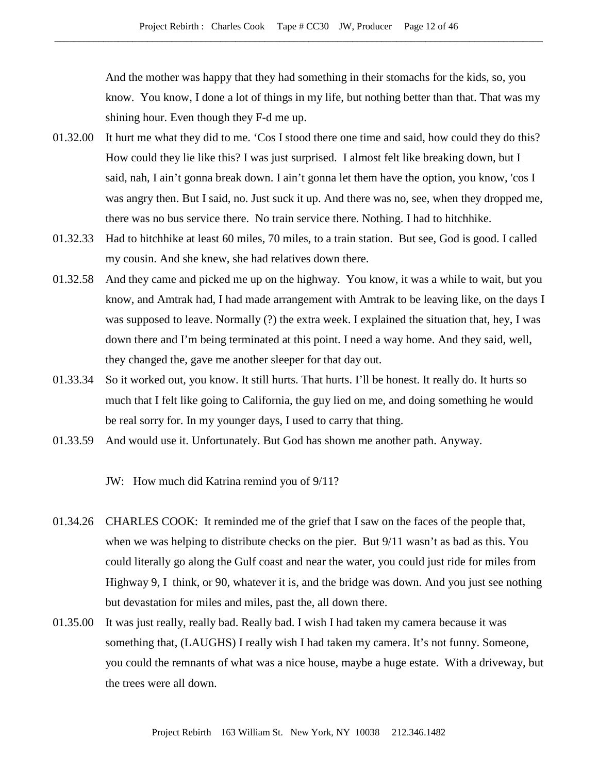And the mother was happy that they had something in their stomachs for the kids, so, you know. You know, I done a lot of things in my life, but nothing better than that. That was my shining hour. Even though they F-d me up.

- 01.32.00 It hurt me what they did to me. 'Cos I stood there one time and said, how could they do this? How could they lie like this? I was just surprised. I almost felt like breaking down, but I said, nah, I ain't gonna break down. I ain't gonna let them have the option, you know, 'cos I was angry then. But I said, no. Just suck it up. And there was no, see, when they dropped me, there was no bus service there. No train service there. Nothing. I had to hitchhike.
- 01.32.33 Had to hitchhike at least 60 miles, 70 miles, to a train station. But see, God is good. I called my cousin. And she knew, she had relatives down there.
- 01.32.58 And they came and picked me up on the highway. You know, it was a while to wait, but you know, and Amtrak had, I had made arrangement with Amtrak to be leaving like, on the days I was supposed to leave. Normally (?) the extra week. I explained the situation that, hey, I was down there and I'm being terminated at this point. I need a way home. And they said, well, they changed the, gave me another sleeper for that day out.
- 01.33.34 So it worked out, you know. It still hurts. That hurts. I'll be honest. It really do. It hurts so much that I felt like going to California, the guy lied on me, and doing something he would be real sorry for. In my younger days, I used to carry that thing.
- 01.33.59 And would use it. Unfortunately. But God has shown me another path. Anyway.

JW: How much did Katrina remind you of 9/11?

- 01.34.26 CHARLES COOK: It reminded me of the grief that I saw on the faces of the people that, when we was helping to distribute checks on the pier. But 9/11 wasn't as bad as this. You could literally go along the Gulf coast and near the water, you could just ride for miles from Highway 9, I think, or 90, whatever it is, and the bridge was down. And you just see nothing but devastation for miles and miles, past the, all down there.
- 01.35.00 It was just really, really bad. Really bad. I wish I had taken my camera because it was something that, (LAUGHS) I really wish I had taken my camera. It's not funny. Someone, you could the remnants of what was a nice house, maybe a huge estate. With a driveway, but the trees were all down.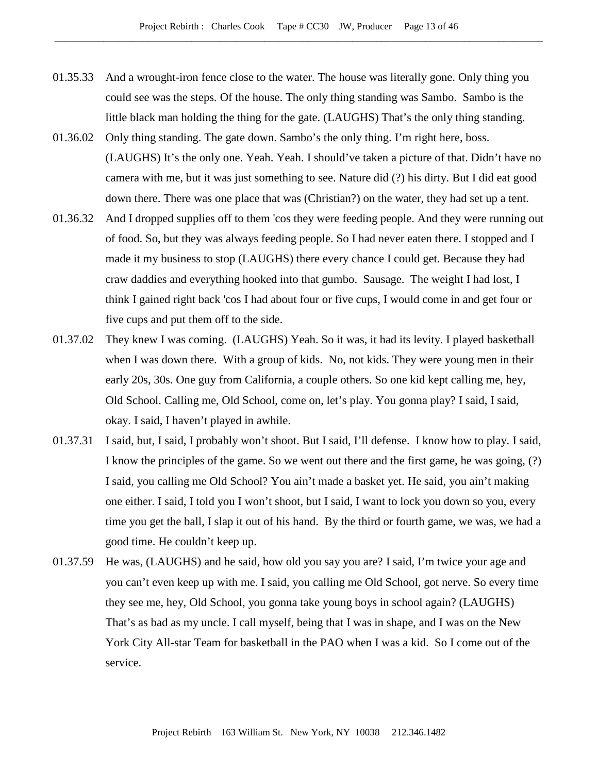- 01.35.33 And a wrought-iron fence close to the water. The house was literally gone. Only thing you could see was the steps. Of the house. The only thing standing was Sambo. Sambo is the little black man holding the thing for the gate. (LAUGHS) That's the only thing standing.
- 01.36.02 Only thing standing. The gate down. Sambo's the only thing. I'm right here, boss. (LAUGHS) It's the only one. Yeah. Yeah. I should've taken a picture of that. Didn't have no camera with me, but it was just something to see. Nature did (?) his dirty. But I did eat good down there. There was one place that was (Christian?) on the water, they had set up a tent.
- 01.36.32 And I dropped supplies off to them 'cos they were feeding people. And they were running out of food. So, but they was always feeding people. So I had never eaten there. I stopped and I made it my business to stop (LAUGHS) there every chance I could get. Because they had craw daddies and everything hooked into that gumbo. Sausage. The weight I had lost, I think I gained right back 'cos I had about four or five cups, I would come in and get four or five cups and put them off to the side.
- 01.37.02 They knew I was coming. (LAUGHS) Yeah. So it was, it had its levity. I played basketball when I was down there. With a group of kids. No, not kids. They were young men in their early 20s, 30s. One guy from California, a couple others. So one kid kept calling me, hey, Old School. Calling me, Old School, come on, let's play. You gonna play? I said, I said, okay. I said, I haven't played in awhile.
- 01.37.31 I said, but, I said, I probably won't shoot. But I said, I'll defense. I know how to play. I said, I know the principles of the game. So we went out there and the first game, he was going, (?) I said, you calling me Old School? You ain't made a basket yet. He said, you ain't making one either. I said, I told you I won't shoot, but I said, I want to lock you down so you, every time you get the ball, I slap it out of his hand. By the third or fourth game, we was, we had a good time. He couldn't keep up.
- 01.37.59 He was, (LAUGHS) and he said, how old you say you are? I said, I'm twice your age and you can't even keep up with me. I said, you calling me Old School, got nerve. So every time they see me, hey, Old School, you gonna take young boys in school again? (LAUGHS) That's as bad as my uncle. I call myself, being that I was in shape, and I was on the New York City All-star Team for basketball in the PAO when I was a kid. So I come out of the service.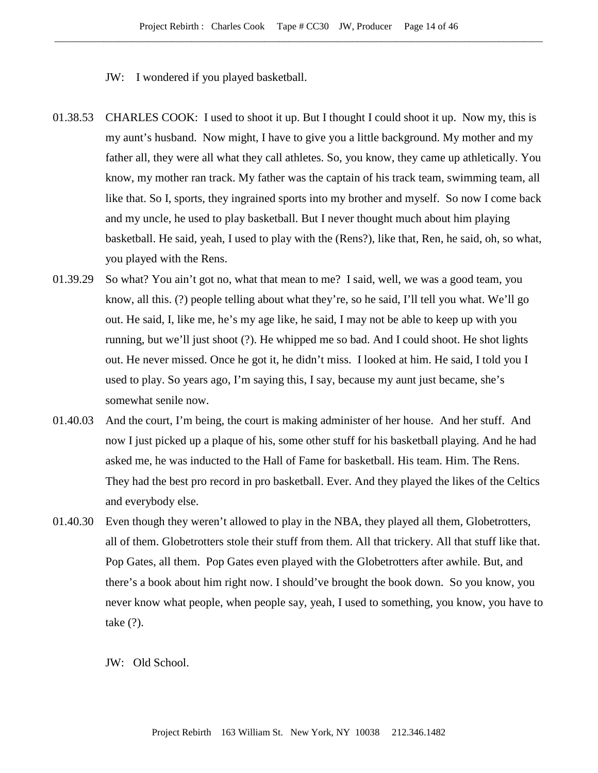JW: I wondered if you played basketball.

- 01.38.53 CHARLES COOK: I used to shoot it up. But I thought I could shoot it up. Now my, this is my aunt's husband. Now might, I have to give you a little background. My mother and my father all, they were all what they call athletes. So, you know, they came up athletically. You know, my mother ran track. My father was the captain of his track team, swimming team, all like that. So I, sports, they ingrained sports into my brother and myself. So now I come back and my uncle, he used to play basketball. But I never thought much about him playing basketball. He said, yeah, I used to play with the (Rens?), like that, Ren, he said, oh, so what, you played with the Rens.
- 01.39.29 So what? You ain't got no, what that mean to me? I said, well, we was a good team, you know, all this. (?) people telling about what they're, so he said, I'll tell you what. We'll go out. He said, I, like me, he's my age like, he said, I may not be able to keep up with you running, but we'll just shoot (?). He whipped me so bad. And I could shoot. He shot lights out. He never missed. Once he got it, he didn't miss. I looked at him. He said, I told you I used to play. So years ago, I'm saying this, I say, because my aunt just became, she's somewhat senile now.
- 01.40.03 And the court, I'm being, the court is making administer of her house. And her stuff. And now I just picked up a plaque of his, some other stuff for his basketball playing. And he had asked me, he was inducted to the Hall of Fame for basketball. His team. Him. The Rens. They had the best pro record in pro basketball. Ever. And they played the likes of the Celtics and everybody else.
- 01.40.30 Even though they weren't allowed to play in the NBA, they played all them, Globetrotters, all of them. Globetrotters stole their stuff from them. All that trickery. All that stuff like that. Pop Gates, all them. Pop Gates even played with the Globetrotters after awhile. But, and there's a book about him right now. I should've brought the book down. So you know, you never know what people, when people say, yeah, I used to something, you know, you have to take (?).

JW: Old School.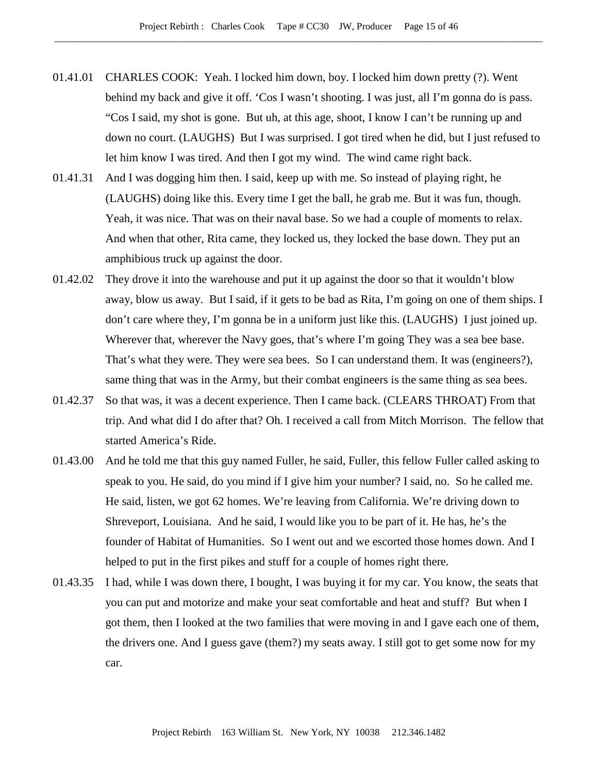- 01.41.01 CHARLES COOK: Yeah. I locked him down, boy. I locked him down pretty (?). Went behind my back and give it off. 'Cos I wasn't shooting. I was just, all I'm gonna do is pass. "Cos I said, my shot is gone. But uh, at this age, shoot, I know I can't be running up and down no court. (LAUGHS) But I was surprised. I got tired when he did, but I just refused to let him know I was tired. And then I got my wind. The wind came right back.
- 01.41.31 And I was dogging him then. I said, keep up with me. So instead of playing right, he (LAUGHS) doing like this. Every time I get the ball, he grab me. But it was fun, though. Yeah, it was nice. That was on their naval base. So we had a couple of moments to relax. And when that other, Rita came, they locked us, they locked the base down. They put an amphibious truck up against the door.
- 01.42.02 They drove it into the warehouse and put it up against the door so that it wouldn't blow away, blow us away. But I said, if it gets to be bad as Rita, I'm going on one of them ships. I don't care where they, I'm gonna be in a uniform just like this. (LAUGHS) I just joined up. Wherever that, wherever the Navy goes, that's where I'm going They was a sea bee base. That's what they were. They were sea bees. So I can understand them. It was (engineers?), same thing that was in the Army, but their combat engineers is the same thing as sea bees.
- 01.42.37 So that was, it was a decent experience. Then I came back. (CLEARS THROAT) From that trip. And what did I do after that? Oh. I received a call from Mitch Morrison. The fellow that started America's Ride.
- 01.43.00 And he told me that this guy named Fuller, he said, Fuller, this fellow Fuller called asking to speak to you. He said, do you mind if I give him your number? I said, no. So he called me. He said, listen, we got 62 homes. We're leaving from California. We're driving down to Shreveport, Louisiana. And he said, I would like you to be part of it. He has, he's the founder of Habitat of Humanities. So I went out and we escorted those homes down. And I helped to put in the first pikes and stuff for a couple of homes right there.
- 01.43.35 I had, while I was down there, I bought, I was buying it for my car. You know, the seats that you can put and motorize and make your seat comfortable and heat and stuff? But when I got them, then I looked at the two families that were moving in and I gave each one of them, the drivers one. And I guess gave (them?) my seats away. I still got to get some now for my car.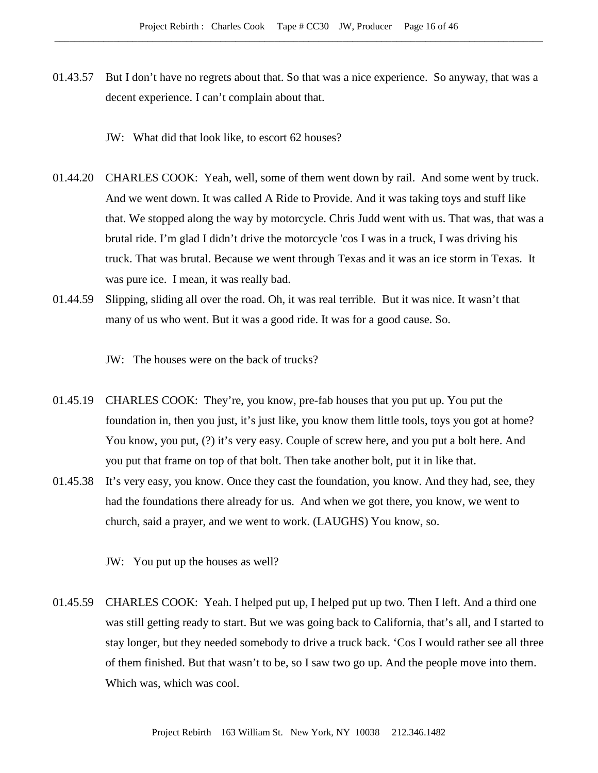01.43.57 But I don't have no regrets about that. So that was a nice experience. So anyway, that was a decent experience. I can't complain about that.

JW: What did that look like, to escort 62 houses?

- 01.44.20 CHARLES COOK: Yeah, well, some of them went down by rail. And some went by truck. And we went down. It was called A Ride to Provide. And it was taking toys and stuff like that. We stopped along the way by motorcycle. Chris Judd went with us. That was, that was a brutal ride. I'm glad I didn't drive the motorcycle 'cos I was in a truck, I was driving his truck. That was brutal. Because we went through Texas and it was an ice storm in Texas. It was pure ice. I mean, it was really bad.
- 01.44.59 Slipping, sliding all over the road. Oh, it was real terrible. But it was nice. It wasn't that many of us who went. But it was a good ride. It was for a good cause. So.

JW: The houses were on the back of trucks?

- 01.45.19 CHARLES COOK: They're, you know, pre-fab houses that you put up. You put the foundation in, then you just, it's just like, you know them little tools, toys you got at home? You know, you put, (?) it's very easy. Couple of screw here, and you put a bolt here. And you put that frame on top of that bolt. Then take another bolt, put it in like that.
- 01.45.38 It's very easy, you know. Once they cast the foundation, you know. And they had, see, they had the foundations there already for us. And when we got there, you know, we went to church, said a prayer, and we went to work. (LAUGHS) You know, so.
	- JW: You put up the houses as well?
- 01.45.59 CHARLES COOK: Yeah. I helped put up, I helped put up two. Then I left. And a third one was still getting ready to start. But we was going back to California, that's all, and I started to stay longer, but they needed somebody to drive a truck back. 'Cos I would rather see all three of them finished. But that wasn't to be, so I saw two go up. And the people move into them. Which was, which was cool.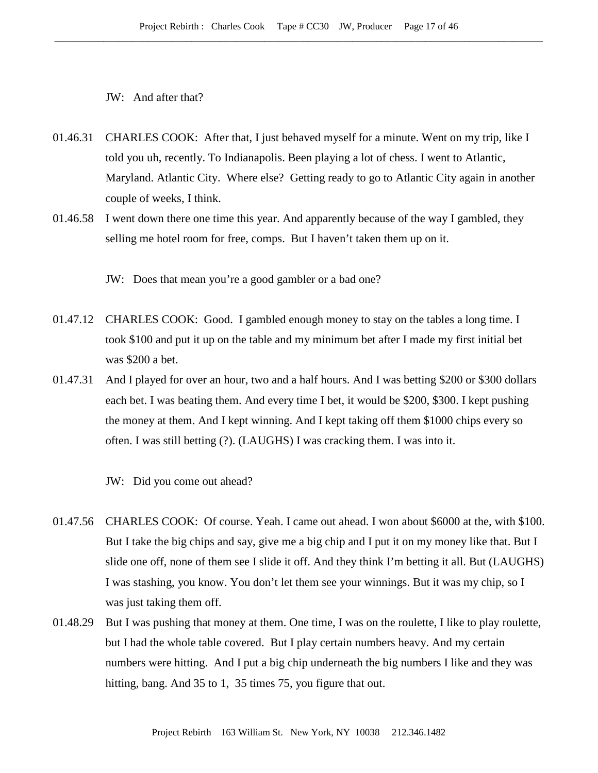JW: And after that?

- 01.46.31 CHARLES COOK: After that, I just behaved myself for a minute. Went on my trip, like I told you uh, recently. To Indianapolis. Been playing a lot of chess. I went to Atlantic, Maryland. Atlantic City. Where else? Getting ready to go to Atlantic City again in another couple of weeks, I think.
- 01.46.58 I went down there one time this year. And apparently because of the way I gambled, they selling me hotel room for free, comps. But I haven't taken them up on it.

JW: Does that mean you're a good gambler or a bad one?

- 01.47.12 CHARLES COOK: Good. I gambled enough money to stay on the tables a long time. I took \$100 and put it up on the table and my minimum bet after I made my first initial bet was \$200 a bet.
- 01.47.31 And I played for over an hour, two and a half hours. And I was betting \$200 or \$300 dollars each bet. I was beating them. And every time I bet, it would be \$200, \$300. I kept pushing the money at them. And I kept winning. And I kept taking off them \$1000 chips every so often. I was still betting (?). (LAUGHS) I was cracking them. I was into it.

JW: Did you come out ahead?

- 01.47.56 CHARLES COOK: Of course. Yeah. I came out ahead. I won about \$6000 at the, with \$100. But I take the big chips and say, give me a big chip and I put it on my money like that. But I slide one off, none of them see I slide it off. And they think I'm betting it all. But (LAUGHS) I was stashing, you know. You don't let them see your winnings. But it was my chip, so I was just taking them off.
- 01.48.29 But I was pushing that money at them. One time, I was on the roulette, I like to play roulette, but I had the whole table covered. But I play certain numbers heavy. And my certain numbers were hitting. And I put a big chip underneath the big numbers I like and they was hitting, bang. And 35 to 1, 35 times 75, you figure that out.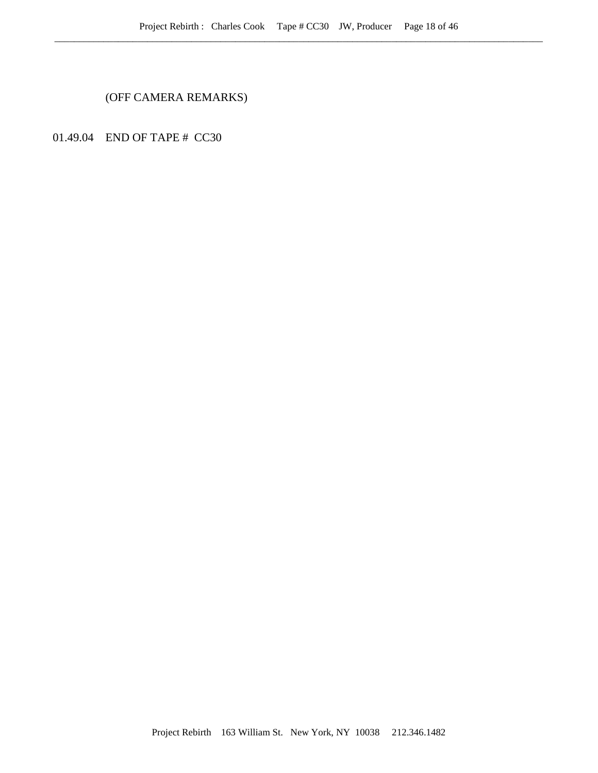(OFF CAMERA REMARKS)

01.49.04 END OF TAPE # CC30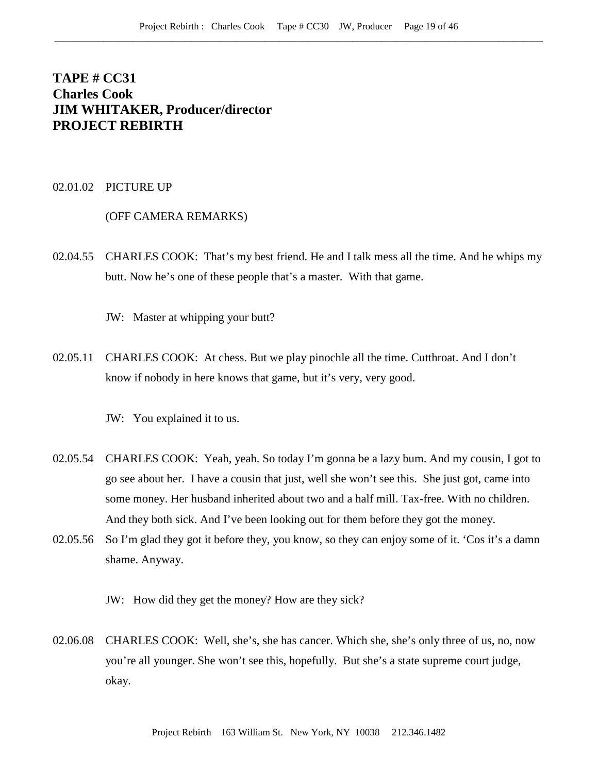# **TAPE # CC31 Charles Cook JIM WHITAKER, Producer/director PROJECT REBIRTH**

## 02.01.02 PICTURE UP

#### (OFF CAMERA REMARKS)

02.04.55 CHARLES COOK: That's my best friend. He and I talk mess all the time. And he whips my butt. Now he's one of these people that's a master. With that game.

JW: Master at whipping your butt?

02.05.11 CHARLES COOK: At chess. But we play pinochle all the time. Cutthroat. And I don't know if nobody in here knows that game, but it's very, very good.

JW: You explained it to us.

- 02.05.54 CHARLES COOK: Yeah, yeah. So today I'm gonna be a lazy bum. And my cousin, I got to go see about her. I have a cousin that just, well she won't see this. She just got, came into some money. Her husband inherited about two and a half mill. Tax-free. With no children. And they both sick. And I've been looking out for them before they got the money.
- 02.05.56 So I'm glad they got it before they, you know, so they can enjoy some of it. 'Cos it's a damn shame. Anyway.

JW: How did they get the money? How are they sick?

02.06.08 CHARLES COOK: Well, she's, she has cancer. Which she, she's only three of us, no, now you're all younger. She won't see this, hopefully. But she's a state supreme court judge, okay.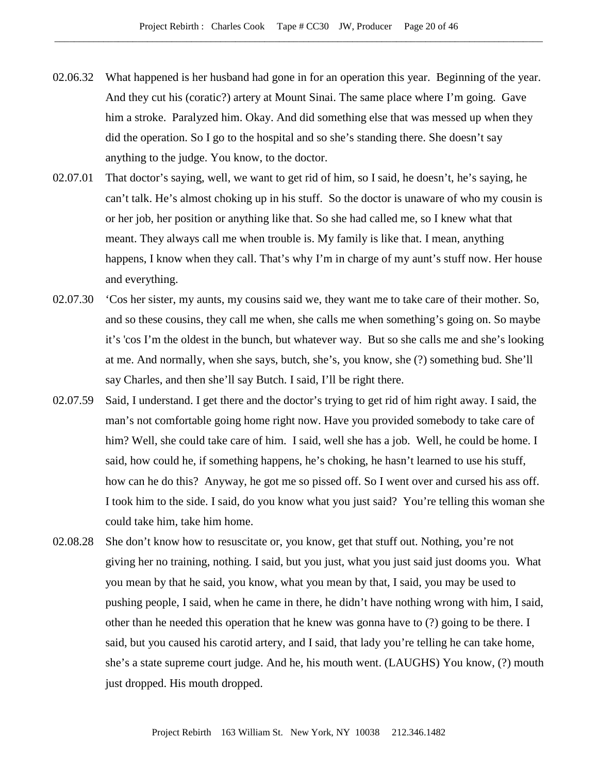- 02.06.32 What happened is her husband had gone in for an operation this year. Beginning of the year. And they cut his (coratic?) artery at Mount Sinai. The same place where I'm going. Gave him a stroke. Paralyzed him. Okay. And did something else that was messed up when they did the operation. So I go to the hospital and so she's standing there. She doesn't say anything to the judge. You know, to the doctor.
- 02.07.01 That doctor's saying, well, we want to get rid of him, so I said, he doesn't, he's saying, he can't talk. He's almost choking up in his stuff. So the doctor is unaware of who my cousin is or her job, her position or anything like that. So she had called me, so I knew what that meant. They always call me when trouble is. My family is like that. I mean, anything happens, I know when they call. That's why I'm in charge of my aunt's stuff now. Her house and everything.
- 02.07.30 'Cos her sister, my aunts, my cousins said we, they want me to take care of their mother. So, and so these cousins, they call me when, she calls me when something's going on. So maybe it's 'cos I'm the oldest in the bunch, but whatever way. But so she calls me and she's looking at me. And normally, when she says, butch, she's, you know, she (?) something bud. She'll say Charles, and then she'll say Butch. I said, I'll be right there.
- 02.07.59 Said, I understand. I get there and the doctor's trying to get rid of him right away. I said, the man's not comfortable going home right now. Have you provided somebody to take care of him? Well, she could take care of him. I said, well she has a job. Well, he could be home. I said, how could he, if something happens, he's choking, he hasn't learned to use his stuff, how can he do this? Anyway, he got me so pissed off. So I went over and cursed his ass off. I took him to the side. I said, do you know what you just said? You're telling this woman she could take him, take him home.
- 02.08.28 She don't know how to resuscitate or, you know, get that stuff out. Nothing, you're not giving her no training, nothing. I said, but you just, what you just said just dooms you. What you mean by that he said, you know, what you mean by that, I said, you may be used to pushing people, I said, when he came in there, he didn't have nothing wrong with him, I said, other than he needed this operation that he knew was gonna have to (?) going to be there. I said, but you caused his carotid artery, and I said, that lady you're telling he can take home, she's a state supreme court judge. And he, his mouth went. (LAUGHS) You know, (?) mouth just dropped. His mouth dropped.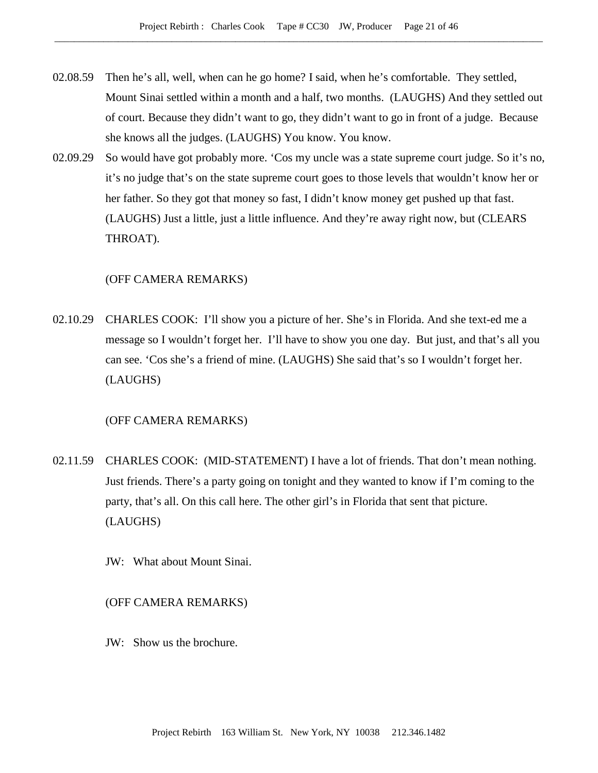- 02.08.59 Then he's all, well, when can he go home? I said, when he's comfortable. They settled, Mount Sinai settled within a month and a half, two months. (LAUGHS) And they settled out of court. Because they didn't want to go, they didn't want to go in front of a judge. Because she knows all the judges. (LAUGHS) You know. You know.
- 02.09.29 So would have got probably more. 'Cos my uncle was a state supreme court judge. So it's no, it's no judge that's on the state supreme court goes to those levels that wouldn't know her or her father. So they got that money so fast, I didn't know money get pushed up that fast. (LAUGHS) Just a little, just a little influence. And they're away right now, but (CLEARS THROAT).

# (OFF CAMERA REMARKS)

02.10.29 CHARLES COOK: I'll show you a picture of her. She's in Florida. And she text-ed me a message so I wouldn't forget her. I'll have to show you one day. But just, and that's all you can see. 'Cos she's a friend of mine. (LAUGHS) She said that's so I wouldn't forget her. (LAUGHS)

## (OFF CAMERA REMARKS)

- 02.11.59 CHARLES COOK: (MID-STATEMENT) I have a lot of friends. That don't mean nothing. Just friends. There's a party going on tonight and they wanted to know if I'm coming to the party, that's all. On this call here. The other girl's in Florida that sent that picture. (LAUGHS)
	- JW: What about Mount Sinai.

#### (OFF CAMERA REMARKS)

JW: Show us the brochure.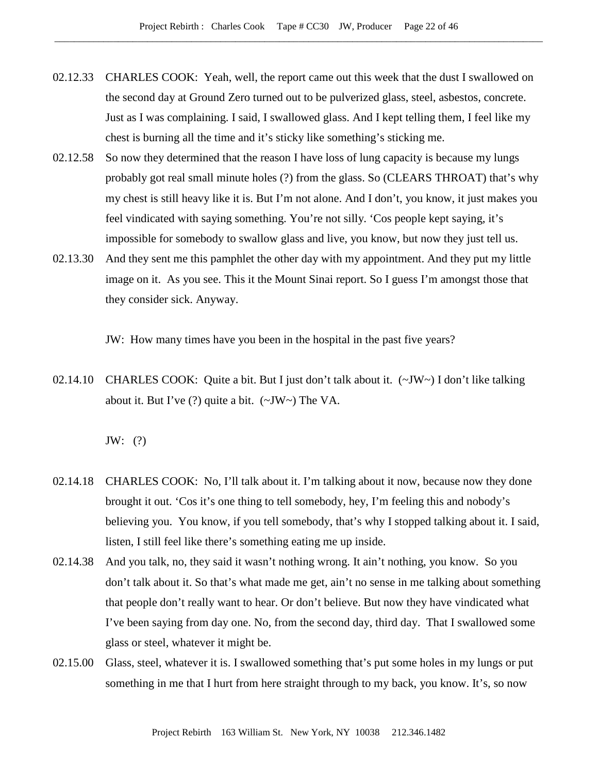- 02.12.33 CHARLES COOK: Yeah, well, the report came out this week that the dust I swallowed on the second day at Ground Zero turned out to be pulverized glass, steel, asbestos, concrete. Just as I was complaining. I said, I swallowed glass. And I kept telling them, I feel like my chest is burning all the time and it's sticky like something's sticking me.
- 02.12.58 So now they determined that the reason I have loss of lung capacity is because my lungs probably got real small minute holes (?) from the glass. So (CLEARS THROAT) that's why my chest is still heavy like it is. But I'm not alone. And I don't, you know, it just makes you feel vindicated with saying something. You're not silly. 'Cos people kept saying, it's impossible for somebody to swallow glass and live, you know, but now they just tell us.
- 02.13.30 And they sent me this pamphlet the other day with my appointment. And they put my little image on it. As you see. This it the Mount Sinai report. So I guess I'm amongst those that they consider sick. Anyway.

JW: How many times have you been in the hospital in the past five years?

02.14.10 CHARLES COOK: Quite a bit. But I just don't talk about it. (~JW~) I don't like talking about it. But I've  $(?)$  quite a bit.  $(\sim JW \sim)$  The VA.

JW: (?)

- 02.14.18 CHARLES COOK: No, I'll talk about it. I'm talking about it now, because now they done brought it out. 'Cos it's one thing to tell somebody, hey, I'm feeling this and nobody's believing you. You know, if you tell somebody, that's why I stopped talking about it. I said, listen, I still feel like there's something eating me up inside.
- 02.14.38 And you talk, no, they said it wasn't nothing wrong. It ain't nothing, you know. So you don't talk about it. So that's what made me get, ain't no sense in me talking about something that people don't really want to hear. Or don't believe. But now they have vindicated what I've been saying from day one. No, from the second day, third day. That I swallowed some glass or steel, whatever it might be.
- 02.15.00 Glass, steel, whatever it is. I swallowed something that's put some holes in my lungs or put something in me that I hurt from here straight through to my back, you know. It's, so now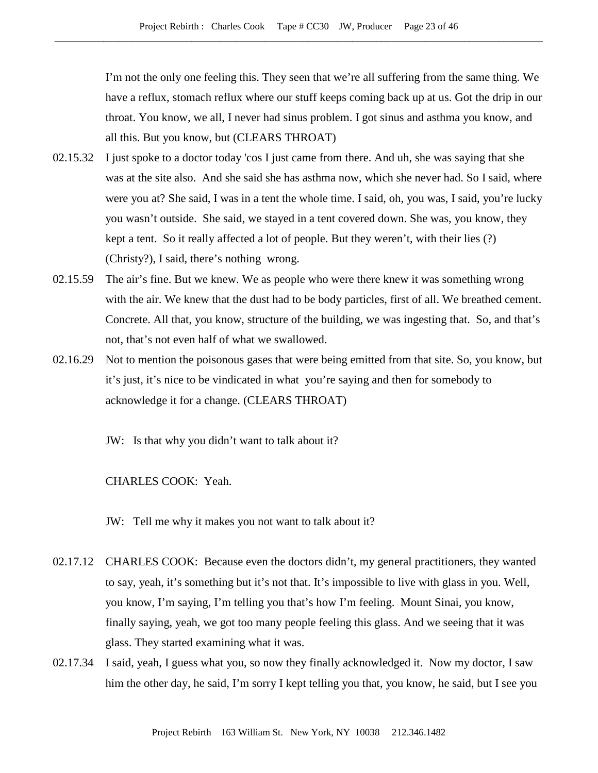I'm not the only one feeling this. They seen that we're all suffering from the same thing. We have a reflux, stomach reflux where our stuff keeps coming back up at us. Got the drip in our throat. You know, we all, I never had sinus problem. I got sinus and asthma you know, and all this. But you know, but (CLEARS THROAT)

- 02.15.32 I just spoke to a doctor today 'cos I just came from there. And uh, she was saying that she was at the site also. And she said she has asthma now, which she never had. So I said, where were you at? She said, I was in a tent the whole time. I said, oh, you was, I said, you're lucky you wasn't outside. She said, we stayed in a tent covered down. She was, you know, they kept a tent. So it really affected a lot of people. But they weren't, with their lies (?) (Christy?), I said, there's nothing wrong.
- 02.15.59 The air's fine. But we knew. We as people who were there knew it was something wrong with the air. We knew that the dust had to be body particles, first of all. We breathed cement. Concrete. All that, you know, structure of the building, we was ingesting that. So, and that's not, that's not even half of what we swallowed.
- 02.16.29 Not to mention the poisonous gases that were being emitted from that site. So, you know, but it's just, it's nice to be vindicated in what you're saying and then for somebody to acknowledge it for a change. (CLEARS THROAT)
	- JW: Is that why you didn't want to talk about it?

CHARLES COOK: Yeah.

JW: Tell me why it makes you not want to talk about it?

- 02.17.12 CHARLES COOK: Because even the doctors didn't, my general practitioners, they wanted to say, yeah, it's something but it's not that. It's impossible to live with glass in you. Well, you know, I'm saying, I'm telling you that's how I'm feeling. Mount Sinai, you know, finally saying, yeah, we got too many people feeling this glass. And we seeing that it was glass. They started examining what it was.
- 02.17.34 I said, yeah, I guess what you, so now they finally acknowledged it. Now my doctor, I saw him the other day, he said, I'm sorry I kept telling you that, you know, he said, but I see you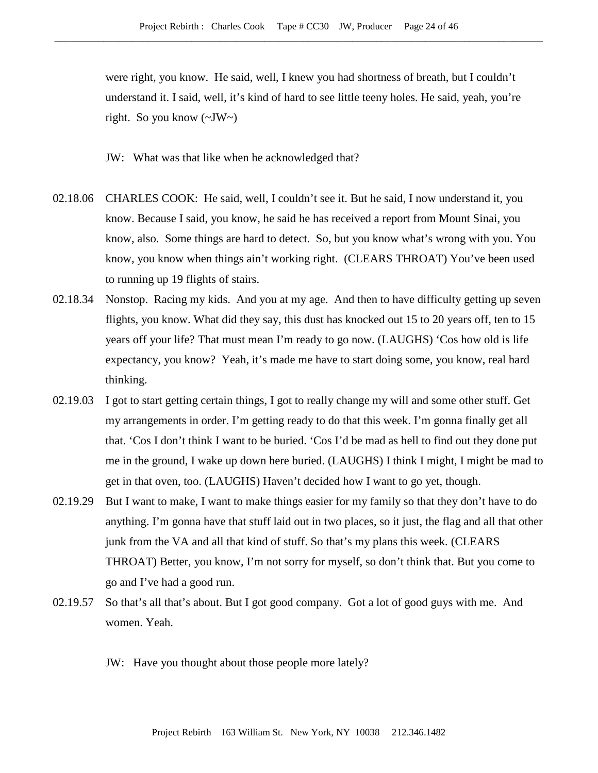were right, you know. He said, well, I knew you had shortness of breath, but I couldn't understand it. I said, well, it's kind of hard to see little teeny holes. He said, yeah, you're right. So you know (~JW~)

JW: What was that like when he acknowledged that?

- 02.18.06 CHARLES COOK: He said, well, I couldn't see it. But he said, I now understand it, you know. Because I said, you know, he said he has received a report from Mount Sinai, you know, also. Some things are hard to detect. So, but you know what's wrong with you. You know, you know when things ain't working right. (CLEARS THROAT) You've been used to running up 19 flights of stairs.
- 02.18.34 Nonstop. Racing my kids. And you at my age. And then to have difficulty getting up seven flights, you know. What did they say, this dust has knocked out 15 to 20 years off, ten to 15 years off your life? That must mean I'm ready to go now. (LAUGHS) 'Cos how old is life expectancy, you know? Yeah, it's made me have to start doing some, you know, real hard thinking.
- 02.19.03 I got to start getting certain things, I got to really change my will and some other stuff. Get my arrangements in order. I'm getting ready to do that this week. I'm gonna finally get all that. 'Cos I don't think I want to be buried. 'Cos I'd be mad as hell to find out they done put me in the ground, I wake up down here buried. (LAUGHS) I think I might, I might be mad to get in that oven, too. (LAUGHS) Haven't decided how I want to go yet, though.
- 02.19.29 But I want to make, I want to make things easier for my family so that they don't have to do anything. I'm gonna have that stuff laid out in two places, so it just, the flag and all that other junk from the VA and all that kind of stuff. So that's my plans this week. (CLEARS THROAT) Better, you know, I'm not sorry for myself, so don't think that. But you come to go and I've had a good run.
- 02.19.57 So that's all that's about. But I got good company. Got a lot of good guys with me. And women. Yeah.
	- JW: Have you thought about those people more lately?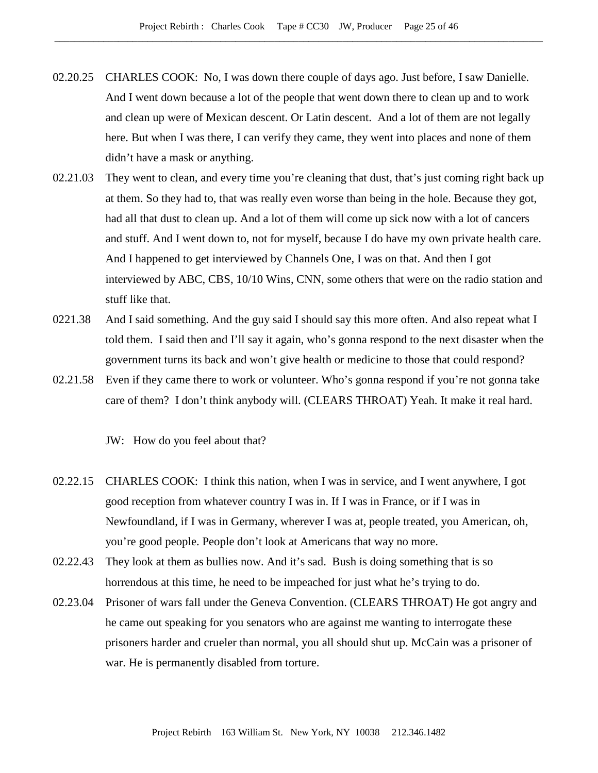- 02.20.25 CHARLES COOK: No, I was down there couple of days ago. Just before, I saw Danielle. And I went down because a lot of the people that went down there to clean up and to work and clean up were of Mexican descent. Or Latin descent. And a lot of them are not legally here. But when I was there, I can verify they came, they went into places and none of them didn't have a mask or anything.
- 02.21.03 They went to clean, and every time you're cleaning that dust, that's just coming right back up at them. So they had to, that was really even worse than being in the hole. Because they got, had all that dust to clean up. And a lot of them will come up sick now with a lot of cancers and stuff. And I went down to, not for myself, because I do have my own private health care. And I happened to get interviewed by Channels One, I was on that. And then I got interviewed by ABC, CBS, 10/10 Wins, CNN, some others that were on the radio station and stuff like that.
- 0221.38 And I said something. And the guy said I should say this more often. And also repeat what I told them. I said then and I'll say it again, who's gonna respond to the next disaster when the government turns its back and won't give health or medicine to those that could respond?
- 02.21.58 Even if they came there to work or volunteer. Who's gonna respond if you're not gonna take care of them? I don't think anybody will. (CLEARS THROAT) Yeah. It make it real hard.

JW: How do you feel about that?

- 02.22.15 CHARLES COOK: I think this nation, when I was in service, and I went anywhere, I got good reception from whatever country I was in. If I was in France, or if I was in Newfoundland, if I was in Germany, wherever I was at, people treated, you American, oh, you're good people. People don't look at Americans that way no more.
- 02.22.43 They look at them as bullies now. And it's sad. Bush is doing something that is so horrendous at this time, he need to be impeached for just what he's trying to do.
- 02.23.04 Prisoner of wars fall under the Geneva Convention. (CLEARS THROAT) He got angry and he came out speaking for you senators who are against me wanting to interrogate these prisoners harder and crueler than normal, you all should shut up. McCain was a prisoner of war. He is permanently disabled from torture.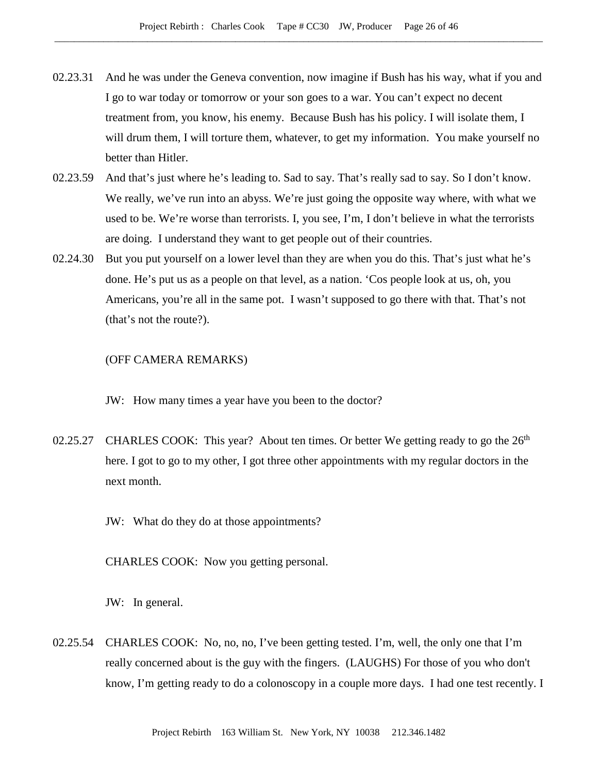- 02.23.31 And he was under the Geneva convention, now imagine if Bush has his way, what if you and I go to war today or tomorrow or your son goes to a war. You can't expect no decent treatment from, you know, his enemy. Because Bush has his policy. I will isolate them, I will drum them, I will torture them, whatever, to get my information. You make yourself no better than Hitler.
- 02.23.59 And that's just where he's leading to. Sad to say. That's really sad to say. So I don't know. We really, we've run into an abyss. We're just going the opposite way where, with what we used to be. We're worse than terrorists. I, you see, I'm, I don't believe in what the terrorists are doing. I understand they want to get people out of their countries.
- 02.24.30 But you put yourself on a lower level than they are when you do this. That's just what he's done. He's put us as a people on that level, as a nation. 'Cos people look at us, oh, you Americans, you're all in the same pot. I wasn't supposed to go there with that. That's not (that's not the route?).

## (OFF CAMERA REMARKS)

JW: How many times a year have you been to the doctor?

- 02.25.27 CHARLES COOK: This year? About ten times. Or better We getting ready to go the  $26<sup>th</sup>$ here. I got to go to my other, I got three other appointments with my regular doctors in the next month.
	- JW: What do they do at those appointments?

CHARLES COOK: Now you getting personal.

JW: In general.

02.25.54 CHARLES COOK: No, no, no, I've been getting tested. I'm, well, the only one that I'm really concerned about is the guy with the fingers. (LAUGHS) For those of you who don't know, I'm getting ready to do a colonoscopy in a couple more days. I had one test recently. I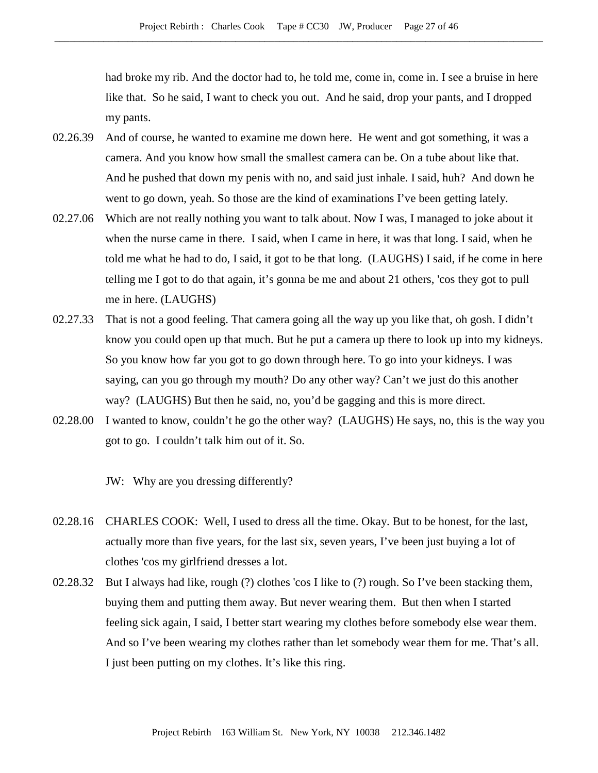had broke my rib. And the doctor had to, he told me, come in, come in. I see a bruise in here like that. So he said, I want to check you out. And he said, drop your pants, and I dropped my pants.

- 02.26.39 And of course, he wanted to examine me down here. He went and got something, it was a camera. And you know how small the smallest camera can be. On a tube about like that. And he pushed that down my penis with no, and said just inhale. I said, huh? And down he went to go down, yeah. So those are the kind of examinations I've been getting lately.
- 02.27.06 Which are not really nothing you want to talk about. Now I was, I managed to joke about it when the nurse came in there. I said, when I came in here, it was that long. I said, when he told me what he had to do, I said, it got to be that long. (LAUGHS) I said, if he come in here telling me I got to do that again, it's gonna be me and about 21 others, 'cos they got to pull me in here. (LAUGHS)
- 02.27.33 That is not a good feeling. That camera going all the way up you like that, oh gosh. I didn't know you could open up that much. But he put a camera up there to look up into my kidneys. So you know how far you got to go down through here. To go into your kidneys. I was saying, can you go through my mouth? Do any other way? Can't we just do this another way? (LAUGHS) But then he said, no, you'd be gagging and this is more direct.
- 02.28.00 I wanted to know, couldn't he go the other way? (LAUGHS) He says, no, this is the way you got to go. I couldn't talk him out of it. So.

JW: Why are you dressing differently?

- 02.28.16 CHARLES COOK: Well, I used to dress all the time. Okay. But to be honest, for the last, actually more than five years, for the last six, seven years, I've been just buying a lot of clothes 'cos my girlfriend dresses a lot.
- 02.28.32 But I always had like, rough (?) clothes 'cos I like to (?) rough. So I've been stacking them, buying them and putting them away. But never wearing them. But then when I started feeling sick again, I said, I better start wearing my clothes before somebody else wear them. And so I've been wearing my clothes rather than let somebody wear them for me. That's all. I just been putting on my clothes. It's like this ring.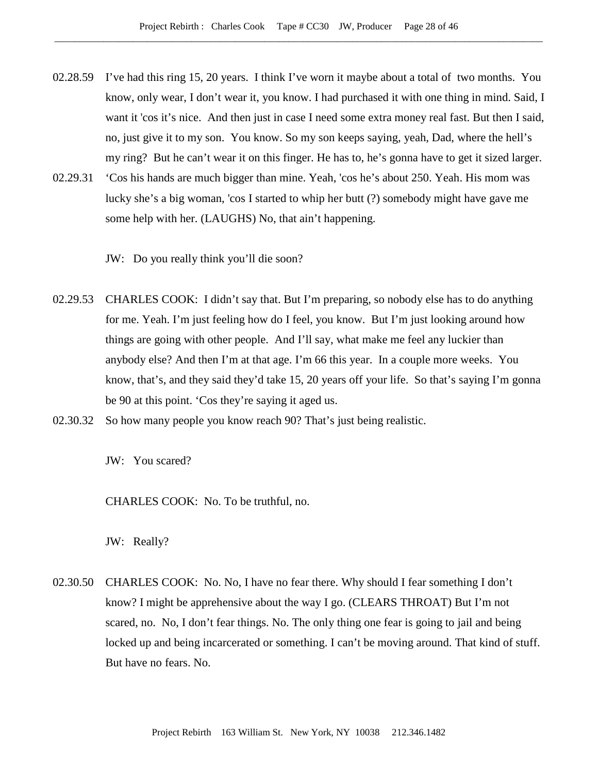- 02.28.59 I've had this ring 15, 20 years. I think I've worn it maybe about a total of two months. You know, only wear, I don't wear it, you know. I had purchased it with one thing in mind. Said, I want it 'cos it's nice. And then just in case I need some extra money real fast. But then I said, no, just give it to my son. You know. So my son keeps saying, yeah, Dad, where the hell's my ring? But he can't wear it on this finger. He has to, he's gonna have to get it sized larger.
- 02.29.31 'Cos his hands are much bigger than mine. Yeah, 'cos he's about 250. Yeah. His mom was lucky she's a big woman, 'cos I started to whip her butt (?) somebody might have gave me some help with her. (LAUGHS) No, that ain't happening.

JW: Do you really think you'll die soon?

- 02.29.53 CHARLES COOK: I didn't say that. But I'm preparing, so nobody else has to do anything for me. Yeah. I'm just feeling how do I feel, you know. But I'm just looking around how things are going with other people. And I'll say, what make me feel any luckier than anybody else? And then I'm at that age. I'm 66 this year. In a couple more weeks. You know, that's, and they said they'd take 15, 20 years off your life. So that's saying I'm gonna be 90 at this point. 'Cos they're saying it aged us.
- 02.30.32 So how many people you know reach 90? That's just being realistic.

JW: You scared?

CHARLES COOK: No. To be truthful, no.

JW: Really?

02.30.50 CHARLES COOK: No. No, I have no fear there. Why should I fear something I don't know? I might be apprehensive about the way I go. (CLEARS THROAT) But I'm not scared, no. No, I don't fear things. No. The only thing one fear is going to jail and being locked up and being incarcerated or something. I can't be moving around. That kind of stuff. But have no fears. No.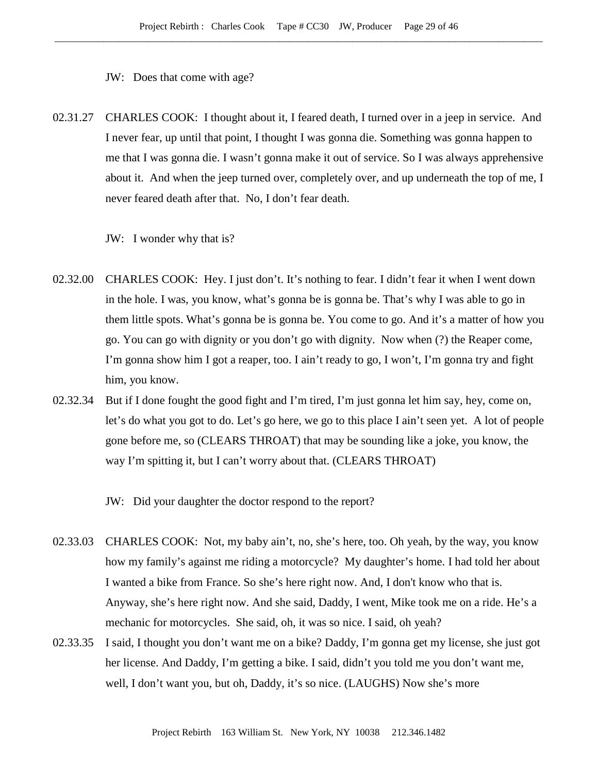JW: Does that come with age?

02.31.27 CHARLES COOK: I thought about it, I feared death, I turned over in a jeep in service. And I never fear, up until that point, I thought I was gonna die. Something was gonna happen to me that I was gonna die. I wasn't gonna make it out of service. So I was always apprehensive about it. And when the jeep turned over, completely over, and up underneath the top of me, I never feared death after that. No, I don't fear death.

JW: I wonder why that is?

- 02.32.00 CHARLES COOK: Hey. I just don't. It's nothing to fear. I didn't fear it when I went down in the hole. I was, you know, what's gonna be is gonna be. That's why I was able to go in them little spots. What's gonna be is gonna be. You come to go. And it's a matter of how you go. You can go with dignity or you don't go with dignity. Now when (?) the Reaper come, I'm gonna show him I got a reaper, too. I ain't ready to go, I won't, I'm gonna try and fight him, you know.
- 02.32.34 But if I done fought the good fight and I'm tired, I'm just gonna let him say, hey, come on, let's do what you got to do. Let's go here, we go to this place I ain't seen yet. A lot of people gone before me, so (CLEARS THROAT) that may be sounding like a joke, you know, the way I'm spitting it, but I can't worry about that. (CLEARS THROAT)

JW: Did your daughter the doctor respond to the report?

- 02.33.03 CHARLES COOK: Not, my baby ain't, no, she's here, too. Oh yeah, by the way, you know how my family's against me riding a motorcycle? My daughter's home. I had told her about I wanted a bike from France. So she's here right now. And, I don't know who that is. Anyway, she's here right now. And she said, Daddy, I went, Mike took me on a ride. He's a mechanic for motorcycles. She said, oh, it was so nice. I said, oh yeah?
- 02.33.35 I said, I thought you don't want me on a bike? Daddy, I'm gonna get my license, she just got her license. And Daddy, I'm getting a bike. I said, didn't you told me you don't want me, well, I don't want you, but oh, Daddy, it's so nice. (LAUGHS) Now she's more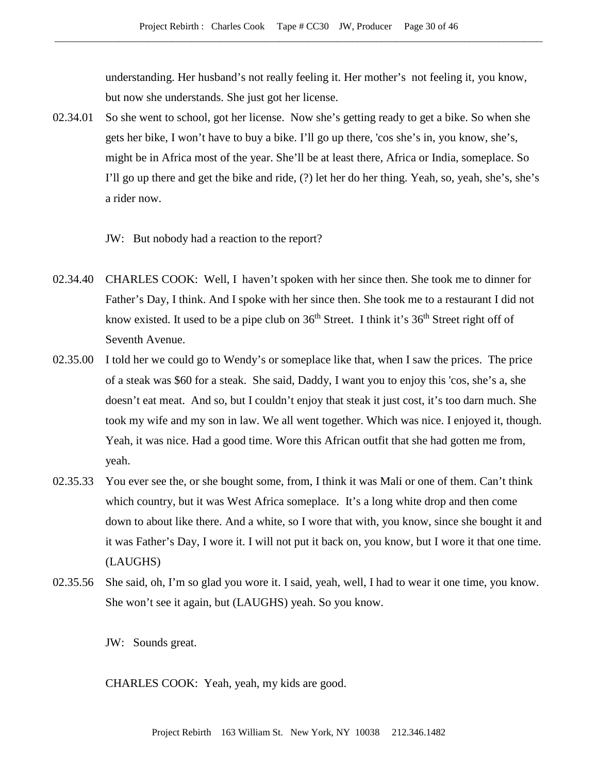understanding. Her husband's not really feeling it. Her mother's not feeling it, you know, but now she understands. She just got her license.

- 02.34.01 So she went to school, got her license. Now she's getting ready to get a bike. So when she gets her bike, I won't have to buy a bike. I'll go up there, 'cos she's in, you know, she's, might be in Africa most of the year. She'll be at least there, Africa or India, someplace. So I'll go up there and get the bike and ride, (?) let her do her thing. Yeah, so, yeah, she's, she's a rider now.
	- JW: But nobody had a reaction to the report?
- 02.34.40 CHARLES COOK: Well, I haven't spoken with her since then. She took me to dinner for Father's Day, I think. And I spoke with her since then. She took me to a restaurant I did not know existed. It used to be a pipe club on  $36<sup>th</sup>$  Street. I think it's  $36<sup>th</sup>$  Street right off of Seventh Avenue.
- 02.35.00 I told her we could go to Wendy's or someplace like that, when I saw the prices. The price of a steak was \$60 for a steak. She said, Daddy, I want you to enjoy this 'cos, she's a, she doesn't eat meat. And so, but I couldn't enjoy that steak it just cost, it's too darn much. She took my wife and my son in law. We all went together. Which was nice. I enjoyed it, though. Yeah, it was nice. Had a good time. Wore this African outfit that she had gotten me from, yeah.
- 02.35.33 You ever see the, or she bought some, from, I think it was Mali or one of them. Can't think which country, but it was West Africa someplace. It's a long white drop and then come down to about like there. And a white, so I wore that with, you know, since she bought it and it was Father's Day, I wore it. I will not put it back on, you know, but I wore it that one time. (LAUGHS)
- 02.35.56 She said, oh, I'm so glad you wore it. I said, yeah, well, I had to wear it one time, you know. She won't see it again, but (LAUGHS) yeah. So you know.

JW: Sounds great.

CHARLES COOK: Yeah, yeah, my kids are good.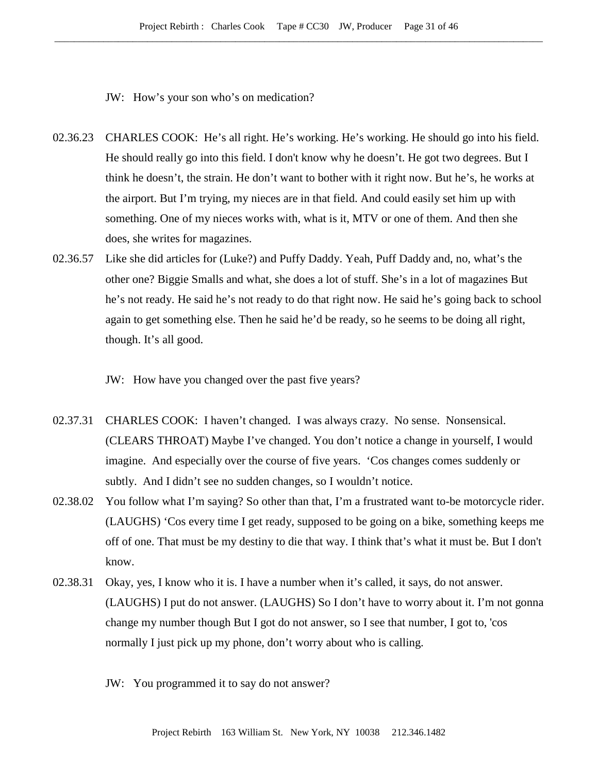JW: How's your son who's on medication?

- 02.36.23 CHARLES COOK: He's all right. He's working. He's working. He should go into his field. He should really go into this field. I don't know why he doesn't. He got two degrees. But I think he doesn't, the strain. He don't want to bother with it right now. But he's, he works at the airport. But I'm trying, my nieces are in that field. And could easily set him up with something. One of my nieces works with, what is it, MTV or one of them. And then she does, she writes for magazines.
- 02.36.57 Like she did articles for (Luke?) and Puffy Daddy. Yeah, Puff Daddy and, no, what's the other one? Biggie Smalls and what, she does a lot of stuff. She's in a lot of magazines But he's not ready. He said he's not ready to do that right now. He said he's going back to school again to get something else. Then he said he'd be ready, so he seems to be doing all right, though. It's all good.

JW: How have you changed over the past five years?

- 02.37.31 CHARLES COOK: I haven't changed. I was always crazy. No sense. Nonsensical. (CLEARS THROAT) Maybe I've changed. You don't notice a change in yourself, I would imagine. And especially over the course of five years. 'Cos changes comes suddenly or subtly. And I didn't see no sudden changes, so I wouldn't notice.
- 02.38.02 You follow what I'm saying? So other than that, I'm a frustrated want to-be motorcycle rider. (LAUGHS) 'Cos every time I get ready, supposed to be going on a bike, something keeps me off of one. That must be my destiny to die that way. I think that's what it must be. But I don't know.
- 02.38.31 Okay, yes, I know who it is. I have a number when it's called, it says, do not answer. (LAUGHS) I put do not answer. (LAUGHS) So I don't have to worry about it. I'm not gonna change my number though But I got do not answer, so I see that number, I got to, 'cos normally I just pick up my phone, don't worry about who is calling.
	- JW: You programmed it to say do not answer?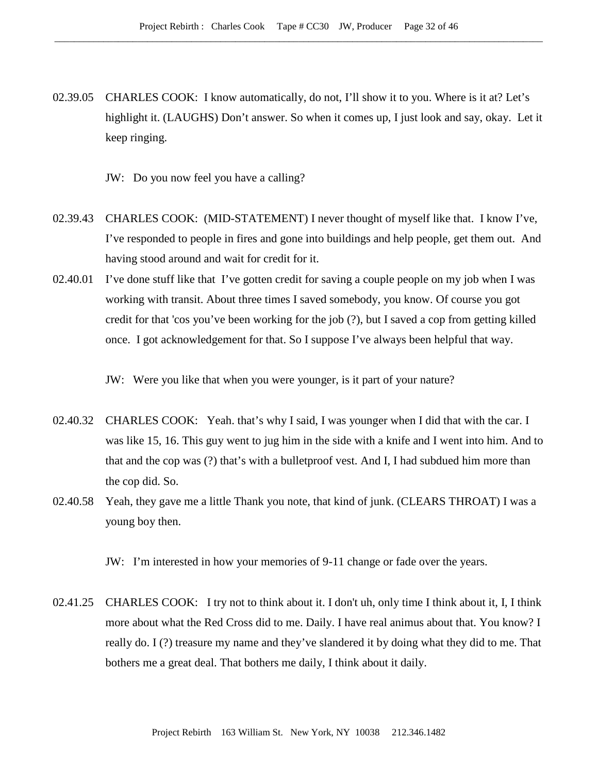- 02.39.05 CHARLES COOK: I know automatically, do not, I'll show it to you. Where is it at? Let's highlight it. (LAUGHS) Don't answer. So when it comes up, I just look and say, okay. Let it keep ringing.
	- JW: Do you now feel you have a calling?
- 02.39.43 CHARLES COOK: (MID-STATEMENT) I never thought of myself like that. I know I've, I've responded to people in fires and gone into buildings and help people, get them out. And having stood around and wait for credit for it.
- 02.40.01 I've done stuff like that I've gotten credit for saving a couple people on my job when I was working with transit. About three times I saved somebody, you know. Of course you got credit for that 'cos you've been working for the job (?), but I saved a cop from getting killed once. I got acknowledgement for that. So I suppose I've always been helpful that way.

JW: Were you like that when you were younger, is it part of your nature?

- 02.40.32 CHARLES COOK: Yeah. that's why I said, I was younger when I did that with the car. I was like 15, 16. This guy went to jug him in the side with a knife and I went into him. And to that and the cop was (?) that's with a bulletproof vest. And I, I had subdued him more than the cop did. So.
- 02.40.58 Yeah, they gave me a little Thank you note, that kind of junk. (CLEARS THROAT) I was a young boy then.

JW: I'm interested in how your memories of 9-11 change or fade over the years.

02.41.25 CHARLES COOK: I try not to think about it. I don't uh, only time I think about it, I, I think more about what the Red Cross did to me. Daily. I have real animus about that. You know? I really do. I (?) treasure my name and they've slandered it by doing what they did to me. That bothers me a great deal. That bothers me daily, I think about it daily.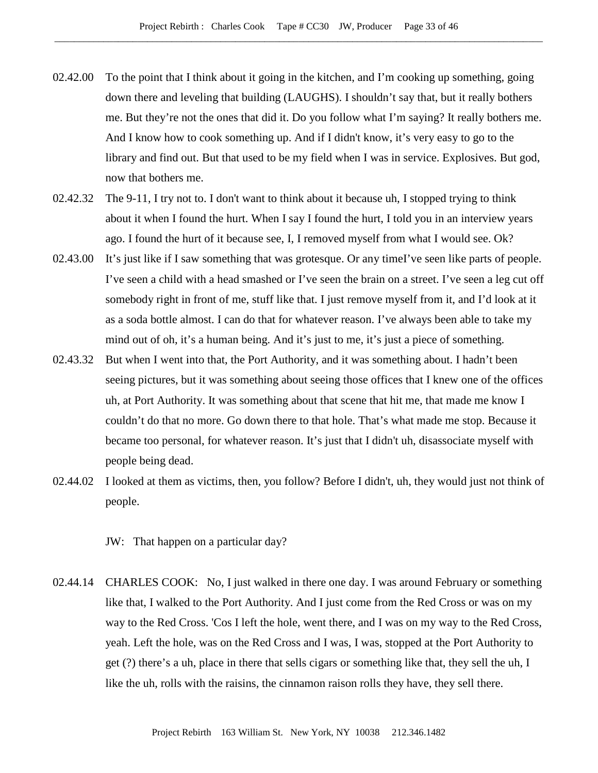- 02.42.00 To the point that I think about it going in the kitchen, and I'm cooking up something, going down there and leveling that building (LAUGHS). I shouldn't say that, but it really bothers me. But they're not the ones that did it. Do you follow what I'm saying? It really bothers me. And I know how to cook something up. And if I didn't know, it's very easy to go to the library and find out. But that used to be my field when I was in service. Explosives. But god, now that bothers me.
- 02.42.32 The 9-11, I try not to. I don't want to think about it because uh, I stopped trying to think about it when I found the hurt. When I say I found the hurt, I told you in an interview years ago. I found the hurt of it because see, I, I removed myself from what I would see. Ok?
- 02.43.00 It's just like if I saw something that was grotesque. Or any timeI've seen like parts of people. I've seen a child with a head smashed or I've seen the brain on a street. I've seen a leg cut off somebody right in front of me, stuff like that. I just remove myself from it, and I'd look at it as a soda bottle almost. I can do that for whatever reason. I've always been able to take my mind out of oh, it's a human being. And it's just to me, it's just a piece of something.
- 02.43.32 But when I went into that, the Port Authority, and it was something about. I hadn't been seeing pictures, but it was something about seeing those offices that I knew one of the offices uh, at Port Authority. It was something about that scene that hit me, that made me know I couldn't do that no more. Go down there to that hole. That's what made me stop. Because it became too personal, for whatever reason. It's just that I didn't uh, disassociate myself with people being dead.
- 02.44.02 I looked at them as victims, then, you follow? Before I didn't, uh, they would just not think of people.

JW: That happen on a particular day?

02.44.14 CHARLES COOK: No, I just walked in there one day. I was around February or something like that, I walked to the Port Authority. And I just come from the Red Cross or was on my way to the Red Cross. 'Cos I left the hole, went there, and I was on my way to the Red Cross, yeah. Left the hole, was on the Red Cross and I was, I was, stopped at the Port Authority to get (?) there's a uh, place in there that sells cigars or something like that, they sell the uh, I like the uh, rolls with the raisins, the cinnamon raison rolls they have, they sell there.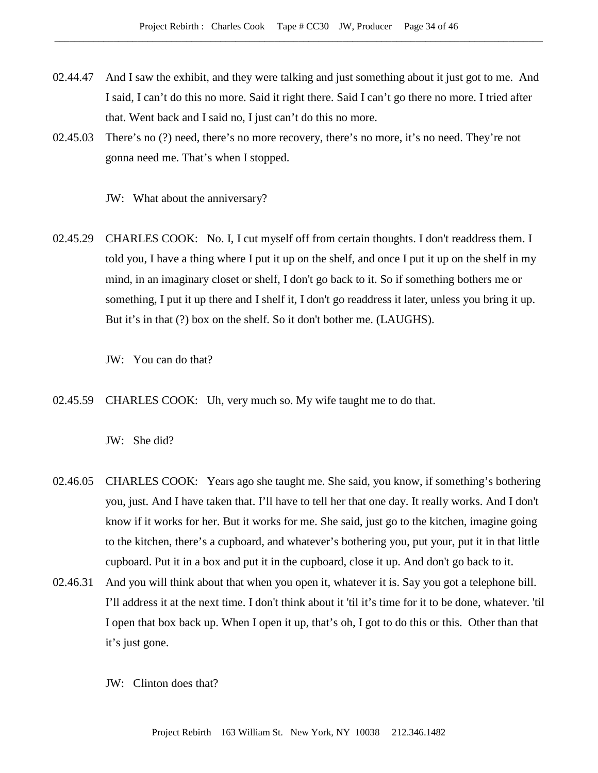- 02.44.47 And I saw the exhibit, and they were talking and just something about it just got to me. And I said, I can't do this no more. Said it right there. Said I can't go there no more. I tried after that. Went back and I said no, I just can't do this no more.
- 02.45.03 There's no (?) need, there's no more recovery, there's no more, it's no need. They're not gonna need me. That's when I stopped.

JW: What about the anniversary?

02.45.29 CHARLES COOK: No. I, I cut myself off from certain thoughts. I don't readdress them. I told you, I have a thing where I put it up on the shelf, and once I put it up on the shelf in my mind, in an imaginary closet or shelf, I don't go back to it. So if something bothers me or something, I put it up there and I shelf it, I don't go readdress it later, unless you bring it up. But it's in that (?) box on the shelf. So it don't bother me. (LAUGHS).

JW: You can do that?

02.45.59 CHARLES COOK: Uh, very much so. My wife taught me to do that.

JW: She did?

- 02.46.05 CHARLES COOK: Years ago she taught me. She said, you know, if something's bothering you, just. And I have taken that. I'll have to tell her that one day. It really works. And I don't know if it works for her. But it works for me. She said, just go to the kitchen, imagine going to the kitchen, there's a cupboard, and whatever's bothering you, put your, put it in that little cupboard. Put it in a box and put it in the cupboard, close it up. And don't go back to it.
- 02.46.31 And you will think about that when you open it, whatever it is. Say you got a telephone bill. I'll address it at the next time. I don't think about it 'til it's time for it to be done, whatever. 'til I open that box back up. When I open it up, that's oh, I got to do this or this. Other than that it's just gone.
	- JW: Clinton does that?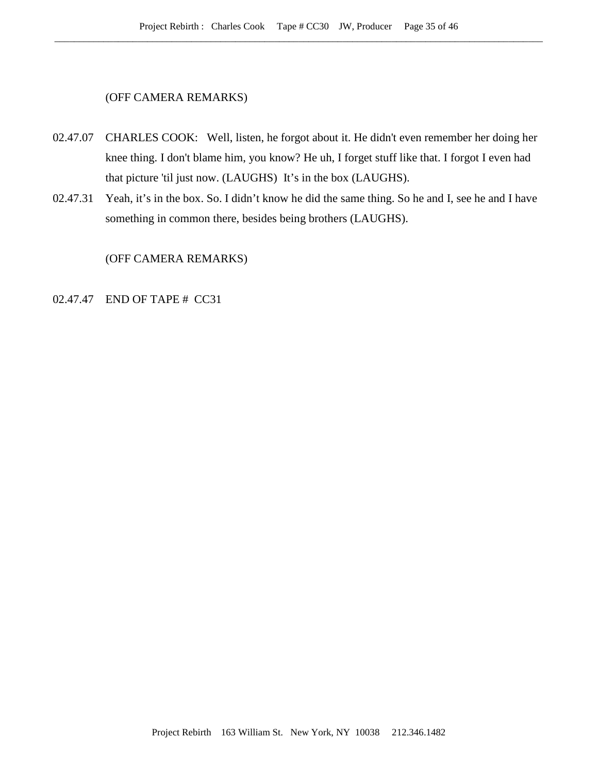# (OFF CAMERA REMARKS)

- 02.47.07 CHARLES COOK: Well, listen, he forgot about it. He didn't even remember her doing her knee thing. I don't blame him, you know? He uh, I forget stuff like that. I forgot I even had that picture 'til just now. (LAUGHS) It's in the box (LAUGHS).
- 02.47.31 Yeah, it's in the box. So. I didn't know he did the same thing. So he and I, see he and I have something in common there, besides being brothers (LAUGHS).

(OFF CAMERA REMARKS)

### 02.47.47 END OF TAPE # CC31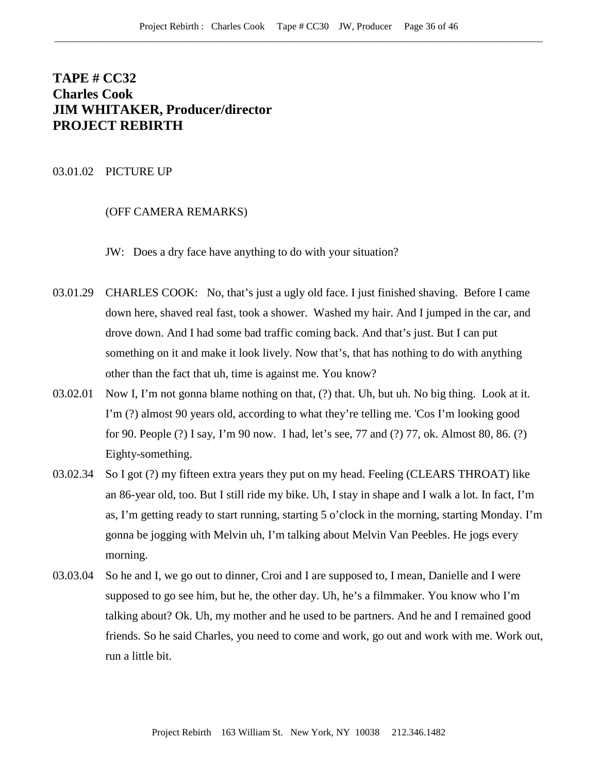# **TAPE # CC32 Charles Cook JIM WHITAKER, Producer/director PROJECT REBIRTH**

#### 03.01.02 PICTURE UP

#### (OFF CAMERA REMARKS)

JW: Does a dry face have anything to do with your situation?

- 03.01.29 CHARLES COOK: No, that's just a ugly old face. I just finished shaving. Before I came down here, shaved real fast, took a shower. Washed my hair. And I jumped in the car, and drove down. And I had some bad traffic coming back. And that's just. But I can put something on it and make it look lively. Now that's, that has nothing to do with anything other than the fact that uh, time is against me. You know?
- 03.02.01 Now I, I'm not gonna blame nothing on that, (?) that. Uh, but uh. No big thing. Look at it. I'm (?) almost 90 years old, according to what they're telling me. 'Cos I'm looking good for 90. People (?) I say, I'm 90 now. I had, let's see, 77 and (?) 77, ok. Almost 80, 86. (?) Eighty-something.
- 03.02.34 So I got (?) my fifteen extra years they put on my head. Feeling (CLEARS THROAT) like an 86-year old, too. But I still ride my bike. Uh, I stay in shape and I walk a lot. In fact, I'm as, I'm getting ready to start running, starting 5 o'clock in the morning, starting Monday. I'm gonna be jogging with Melvin uh, I'm talking about Melvin Van Peebles. He jogs every morning.
- 03.03.04 So he and I, we go out to dinner, Croi and I are supposed to, I mean, Danielle and I were supposed to go see him, but he, the other day. Uh, he's a filmmaker. You know who I'm talking about? Ok. Uh, my mother and he used to be partners. And he and I remained good friends. So he said Charles, you need to come and work, go out and work with me. Work out, run a little bit.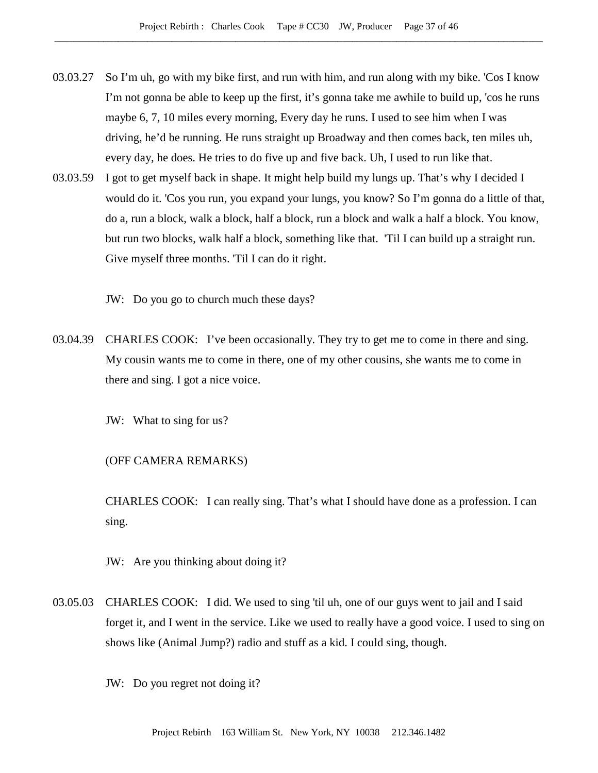- 03.03.27 So I'm uh, go with my bike first, and run with him, and run along with my bike. 'Cos I know I'm not gonna be able to keep up the first, it's gonna take me awhile to build up, 'cos he runs maybe 6, 7, 10 miles every morning, Every day he runs. I used to see him when I was driving, he'd be running. He runs straight up Broadway and then comes back, ten miles uh, every day, he does. He tries to do five up and five back. Uh, I used to run like that.
- 03.03.59 I got to get myself back in shape. It might help build my lungs up. That's why I decided I would do it. 'Cos you run, you expand your lungs, you know? So I'm gonna do a little of that, do a, run a block, walk a block, half a block, run a block and walk a half a block. You know, but run two blocks, walk half a block, something like that. 'Til I can build up a straight run. Give myself three months. 'Til I can do it right.

JW: Do you go to church much these days?

03.04.39 CHARLES COOK: I've been occasionally. They try to get me to come in there and sing. My cousin wants me to come in there, one of my other cousins, she wants me to come in there and sing. I got a nice voice.

JW: What to sing for us?

(OFF CAMERA REMARKS)

CHARLES COOK: I can really sing. That's what I should have done as a profession. I can sing.

JW: Are you thinking about doing it?

03.05.03 CHARLES COOK: I did. We used to sing 'til uh, one of our guys went to jail and I said forget it, and I went in the service. Like we used to really have a good voice. I used to sing on shows like (Animal Jump?) radio and stuff as a kid. I could sing, though.

JW: Do you regret not doing it?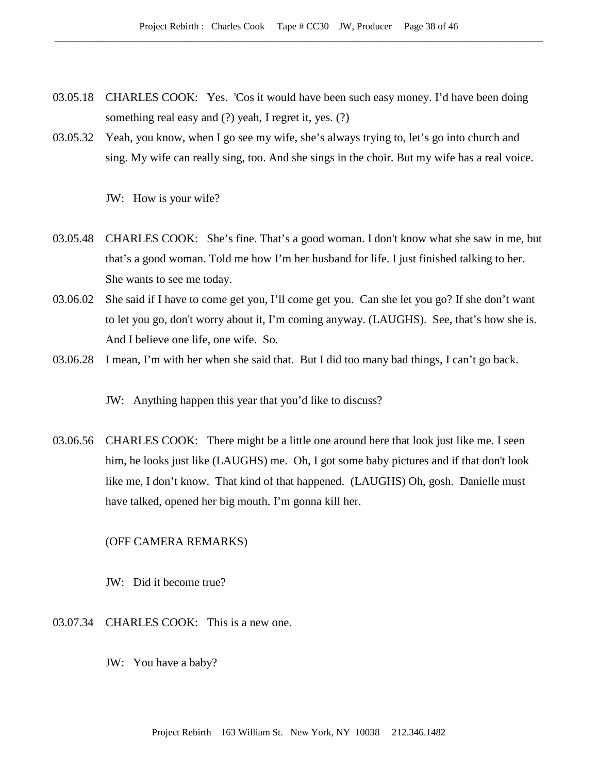- 03.05.18 CHARLES COOK: Yes. 'Cos it would have been such easy money. I'd have been doing something real easy and (?) yeah, I regret it, yes. (?)
- 03.05.32 Yeah, you know, when I go see my wife, she's always trying to, let's go into church and sing. My wife can really sing, too. And she sings in the choir. But my wife has a real voice.

JW: How is your wife?

- 03.05.48 CHARLES COOK: She's fine. That's a good woman. I don't know what she saw in me, but that's a good woman. Told me how I'm her husband for life. I just finished talking to her. She wants to see me today.
- 03.06.02 She said if I have to come get you, I'll come get you. Can she let you go? If she don't want to let you go, don't worry about it, I'm coming anyway. (LAUGHS). See, that's how she is. And I believe one life, one wife. So.
- 03.06.28 I mean, I'm with her when she said that. But I did too many bad things, I can't go back.

JW: Anything happen this year that you'd like to discuss?

03.06.56 CHARLES COOK: There might be a little one around here that look just like me. I seen him, he looks just like (LAUGHS) me. Oh, I got some baby pictures and if that don't look like me, I don't know. That kind of that happened. (LAUGHS) Oh, gosh. Danielle must have talked, opened her big mouth. I'm gonna kill her.

# (OFF CAMERA REMARKS)

JW: Did it become true?

- 03.07.34 CHARLES COOK: This is a new one.
	- JW: You have a baby?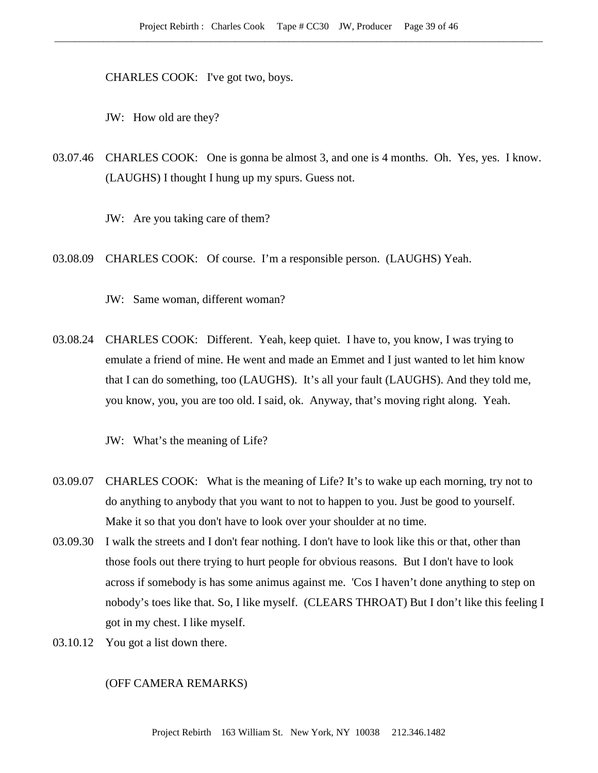CHARLES COOK: I've got two, boys.

JW: How old are they?

- 03.07.46 CHARLES COOK: One is gonna be almost 3, and one is 4 months. Oh. Yes, yes. I know. (LAUGHS) I thought I hung up my spurs. Guess not.
	- JW: Are you taking care of them?
- 03.08.09 CHARLES COOK: Of course. I'm a responsible person. (LAUGHS) Yeah.

JW: Same woman, different woman?

03.08.24 CHARLES COOK: Different. Yeah, keep quiet. I have to, you know, I was trying to emulate a friend of mine. He went and made an Emmet and I just wanted to let him know that I can do something, too (LAUGHS). It's all your fault (LAUGHS). And they told me, you know, you, you are too old. I said, ok. Anyway, that's moving right along. Yeah.

JW: What's the meaning of Life?

- 03.09.07 CHARLES COOK: What is the meaning of Life? It's to wake up each morning, try not to do anything to anybody that you want to not to happen to you. Just be good to yourself. Make it so that you don't have to look over your shoulder at no time.
- 03.09.30 I walk the streets and I don't fear nothing. I don't have to look like this or that, other than those fools out there trying to hurt people for obvious reasons. But I don't have to look across if somebody is has some animus against me. 'Cos I haven't done anything to step on nobody's toes like that. So, I like myself. (CLEARS THROAT) But I don't like this feeling I got in my chest. I like myself.
- 03.10.12 You got a list down there.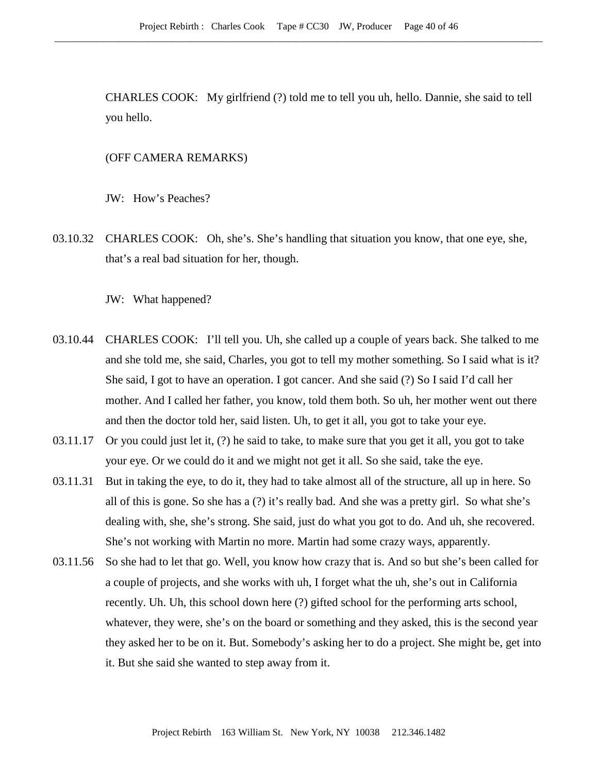CHARLES COOK: My girlfriend (?) told me to tell you uh, hello. Dannie, she said to tell you hello.

## (OFF CAMERA REMARKS)

JW: How's Peaches?

03.10.32 CHARLES COOK: Oh, she's. She's handling that situation you know, that one eye, she, that's a real bad situation for her, though.

JW: What happened?

- 03.10.44 CHARLES COOK: I'll tell you. Uh, she called up a couple of years back. She talked to me and she told me, she said, Charles, you got to tell my mother something. So I said what is it? She said, I got to have an operation. I got cancer. And she said (?) So I said I'd call her mother. And I called her father, you know, told them both. So uh, her mother went out there and then the doctor told her, said listen. Uh, to get it all, you got to take your eye.
- 03.11.17 Or you could just let it, (?) he said to take, to make sure that you get it all, you got to take your eye. Or we could do it and we might not get it all. So she said, take the eye.
- 03.11.31 But in taking the eye, to do it, they had to take almost all of the structure, all up in here. So all of this is gone. So she has a (?) it's really bad. And she was a pretty girl. So what she's dealing with, she, she's strong. She said, just do what you got to do. And uh, she recovered. She's not working with Martin no more. Martin had some crazy ways, apparently.
- 03.11.56 So she had to let that go. Well, you know how crazy that is. And so but she's been called for a couple of projects, and she works with uh, I forget what the uh, she's out in California recently. Uh. Uh, this school down here (?) gifted school for the performing arts school, whatever, they were, she's on the board or something and they asked, this is the second year they asked her to be on it. But. Somebody's asking her to do a project. She might be, get into it. But she said she wanted to step away from it.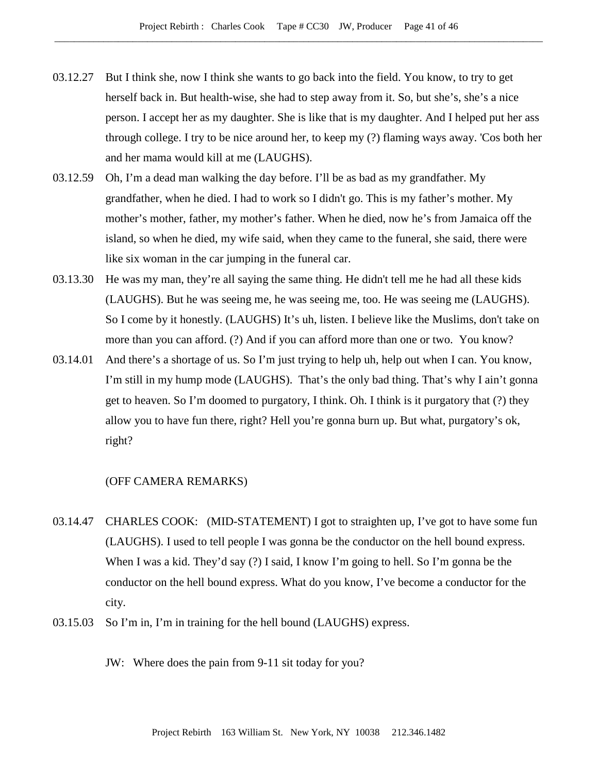- 03.12.27 But I think she, now I think she wants to go back into the field. You know, to try to get herself back in. But health-wise, she had to step away from it. So, but she's, she's a nice person. I accept her as my daughter. She is like that is my daughter. And I helped put her ass through college. I try to be nice around her, to keep my (?) flaming ways away. 'Cos both her and her mama would kill at me (LAUGHS).
- 03.12.59 Oh, I'm a dead man walking the day before. I'll be as bad as my grandfather. My grandfather, when he died. I had to work so I didn't go. This is my father's mother. My mother's mother, father, my mother's father. When he died, now he's from Jamaica off the island, so when he died, my wife said, when they came to the funeral, she said, there were like six woman in the car jumping in the funeral car.
- 03.13.30 He was my man, they're all saying the same thing. He didn't tell me he had all these kids (LAUGHS). But he was seeing me, he was seeing me, too. He was seeing me (LAUGHS). So I come by it honestly. (LAUGHS) It's uh, listen. I believe like the Muslims, don't take on more than you can afford. (?) And if you can afford more than one or two. You know?
- 03.14.01 And there's a shortage of us. So I'm just trying to help uh, help out when I can. You know, I'm still in my hump mode (LAUGHS). That's the only bad thing. That's why I ain't gonna get to heaven. So I'm doomed to purgatory, I think. Oh. I think is it purgatory that (?) they allow you to have fun there, right? Hell you're gonna burn up. But what, purgatory's ok, right?

- 03.14.47 CHARLES COOK: (MID-STATEMENT) I got to straighten up, I've got to have some fun (LAUGHS). I used to tell people I was gonna be the conductor on the hell bound express. When I was a kid. They'd say (?) I said, I know I'm going to hell. So I'm gonna be the conductor on the hell bound express. What do you know, I've become a conductor for the city.
- 03.15.03 So I'm in, I'm in training for the hell bound (LAUGHS) express.
	- JW: Where does the pain from 9-11 sit today for you?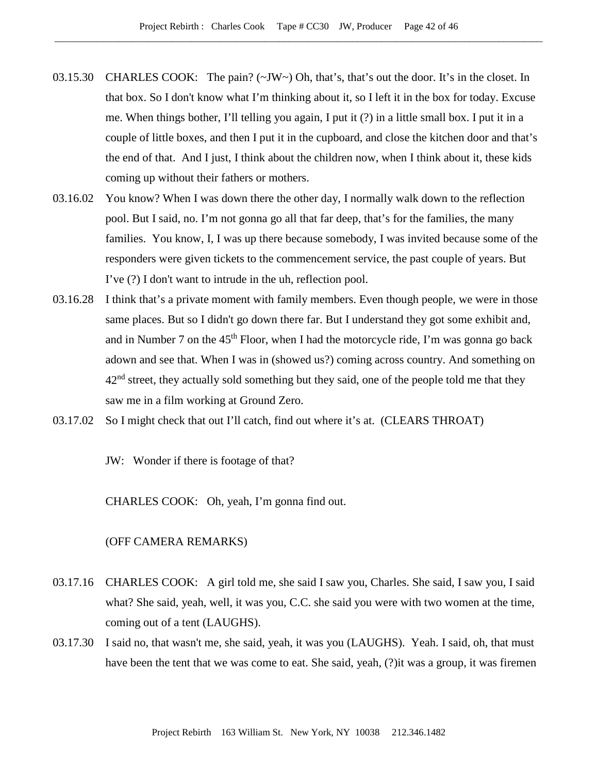- 03.15.30 CHARLES COOK: The pain? ( $\sim$ JW $\sim$ ) Oh, that's, that's out the door. It's in the closet. In that box. So I don't know what I'm thinking about it, so I left it in the box for today. Excuse me. When things bother, I'll telling you again, I put it (?) in a little small box. I put it in a couple of little boxes, and then I put it in the cupboard, and close the kitchen door and that's the end of that. And I just, I think about the children now, when I think about it, these kids coming up without their fathers or mothers.
- 03.16.02 You know? When I was down there the other day, I normally walk down to the reflection pool. But I said, no. I'm not gonna go all that far deep, that's for the families, the many families. You know, I, I was up there because somebody, I was invited because some of the responders were given tickets to the commencement service, the past couple of years. But I've (?) I don't want to intrude in the uh, reflection pool.
- 03.16.28 I think that's a private moment with family members. Even though people, we were in those same places. But so I didn't go down there far. But I understand they got some exhibit and, and in Number 7 on the  $45<sup>th</sup>$  Floor, when I had the motorcycle ride, I'm was gonna go back adown and see that. When I was in (showed us?) coming across country. And something on  $42<sup>nd</sup>$  street, they actually sold something but they said, one of the people told me that they saw me in a film working at Ground Zero.
- 03.17.02 So I might check that out I'll catch, find out where it's at. (CLEARS THROAT)

JW: Wonder if there is footage of that?

CHARLES COOK: Oh, yeah, I'm gonna find out.

- 03.17.16 CHARLES COOK: A girl told me, she said I saw you, Charles. She said, I saw you, I said what? She said, yeah, well, it was you, C.C. she said you were with two women at the time, coming out of a tent (LAUGHS).
- 03.17.30 I said no, that wasn't me, she said, yeah, it was you (LAUGHS). Yeah. I said, oh, that must have been the tent that we was come to eat. She said, yeah, (?)it was a group, it was firemen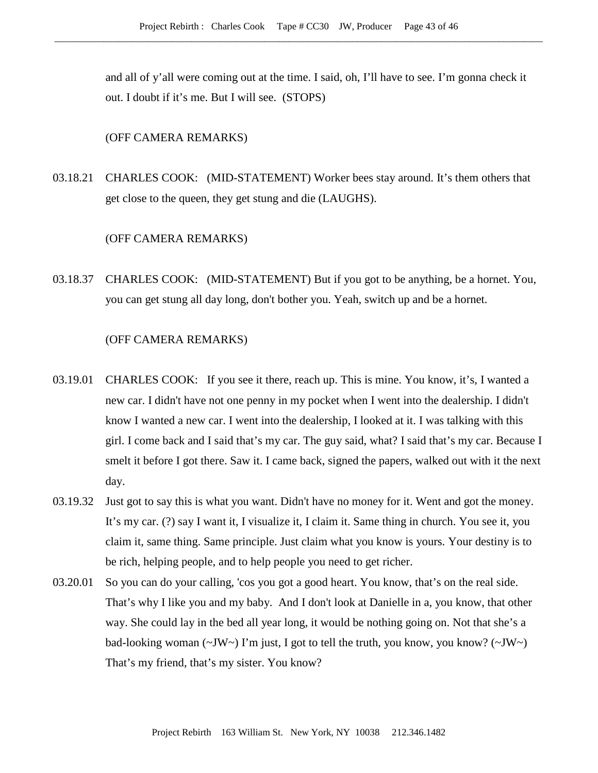and all of y'all were coming out at the time. I said, oh, I'll have to see. I'm gonna check it out. I doubt if it's me. But I will see. (STOPS)

#### (OFF CAMERA REMARKS)

03.18.21 CHARLES COOK: (MID-STATEMENT) Worker bees stay around. It's them others that get close to the queen, they get stung and die (LAUGHS).

## (OFF CAMERA REMARKS)

03.18.37 CHARLES COOK: (MID-STATEMENT) But if you got to be anything, be a hornet. You, you can get stung all day long, don't bother you. Yeah, switch up and be a hornet.

- 03.19.01 CHARLES COOK: If you see it there, reach up. This is mine. You know, it's, I wanted a new car. I didn't have not one penny in my pocket when I went into the dealership. I didn't know I wanted a new car. I went into the dealership, I looked at it. I was talking with this girl. I come back and I said that's my car. The guy said, what? I said that's my car. Because I smelt it before I got there. Saw it. I came back, signed the papers, walked out with it the next day.
- 03.19.32 Just got to say this is what you want. Didn't have no money for it. Went and got the money. It's my car. (?) say I want it, I visualize it, I claim it. Same thing in church. You see it, you claim it, same thing. Same principle. Just claim what you know is yours. Your destiny is to be rich, helping people, and to help people you need to get richer.
- 03.20.01 So you can do your calling, 'cos you got a good heart. You know, that's on the real side. That's why I like you and my baby. And I don't look at Danielle in a, you know, that other way. She could lay in the bed all year long, it would be nothing going on. Not that she's a bad-looking woman ( $\sim$ JW $\sim$ ) I'm just, I got to tell the truth, you know, you know? ( $\sim$ JW $\sim$ ) That's my friend, that's my sister. You know?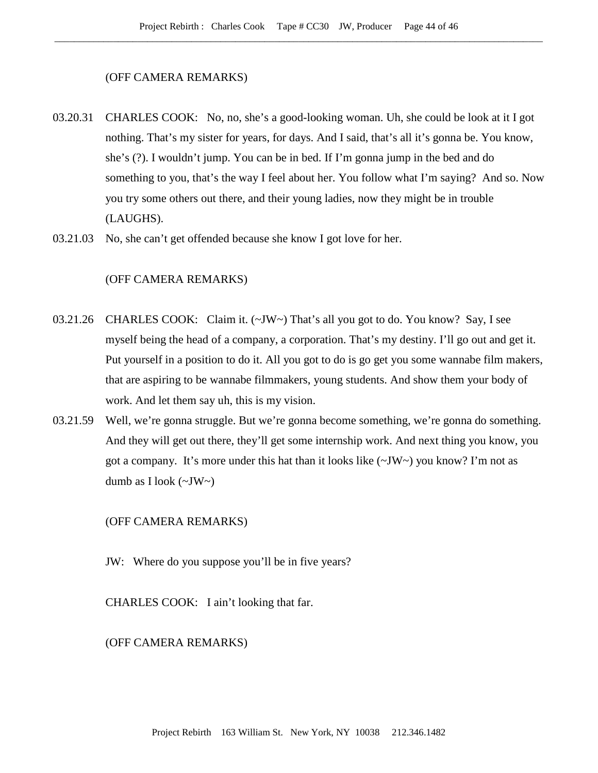#### (OFF CAMERA REMARKS)

- 03.20.31 CHARLES COOK: No, no, she's a good-looking woman. Uh, she could be look at it I got nothing. That's my sister for years, for days. And I said, that's all it's gonna be. You know, she's (?). I wouldn't jump. You can be in bed. If I'm gonna jump in the bed and do something to you, that's the way I feel about her. You follow what I'm saying? And so. Now you try some others out there, and their young ladies, now they might be in trouble (LAUGHS).
- 03.21.03 No, she can't get offended because she know I got love for her.

# (OFF CAMERA REMARKS)

- 03.21.26 CHARLES COOK: Claim it.  $(\sim JW \sim)$  That's all you got to do. You know? Say, I see myself being the head of a company, a corporation. That's my destiny. I'll go out and get it. Put yourself in a position to do it. All you got to do is go get you some wannabe film makers, that are aspiring to be wannabe filmmakers, young students. And show them your body of work. And let them say uh, this is my vision.
- 03.21.59 Well, we're gonna struggle. But we're gonna become something, we're gonna do something. And they will get out there, they'll get some internship work. And next thing you know, you got a company. It's more under this hat than it looks like  $(\sim JW \sim)$  you know? I'm not as dumb as I look  $(\sim JW)$

### (OFF CAMERA REMARKS)

JW: Where do you suppose you'll be in five years?

CHARLES COOK: I ain't looking that far.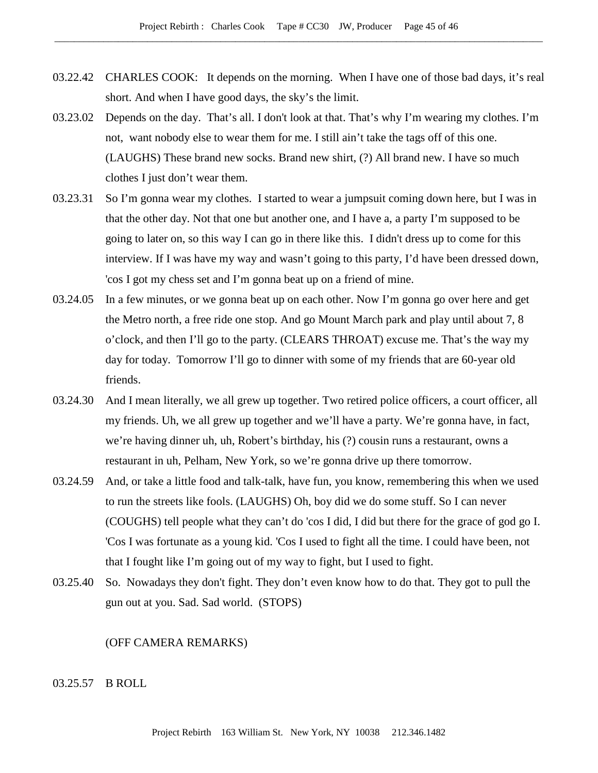- 03.22.42 CHARLES COOK: It depends on the morning. When I have one of those bad days, it's real short. And when I have good days, the sky's the limit.
- 03.23.02 Depends on the day. That's all. I don't look at that. That's why I'm wearing my clothes. I'm not, want nobody else to wear them for me. I still ain't take the tags off of this one. (LAUGHS) These brand new socks. Brand new shirt, (?) All brand new. I have so much clothes I just don't wear them.
- 03.23.31 So I'm gonna wear my clothes. I started to wear a jumpsuit coming down here, but I was in that the other day. Not that one but another one, and I have a, a party I'm supposed to be going to later on, so this way I can go in there like this. I didn't dress up to come for this interview. If I was have my way and wasn't going to this party, I'd have been dressed down, 'cos I got my chess set and I'm gonna beat up on a friend of mine.
- 03.24.05 In a few minutes, or we gonna beat up on each other. Now I'm gonna go over here and get the Metro north, a free ride one stop. And go Mount March park and play until about 7, 8 o'clock, and then I'll go to the party. (CLEARS THROAT) excuse me. That's the way my day for today. Tomorrow I'll go to dinner with some of my friends that are 60-year old friends.
- 03.24.30 And I mean literally, we all grew up together. Two retired police officers, a court officer, all my friends. Uh, we all grew up together and we'll have a party. We're gonna have, in fact, we're having dinner uh, uh, Robert's birthday, his (?) cousin runs a restaurant, owns a restaurant in uh, Pelham, New York, so we're gonna drive up there tomorrow.
- 03.24.59 And, or take a little food and talk-talk, have fun, you know, remembering this when we used to run the streets like fools. (LAUGHS) Oh, boy did we do some stuff. So I can never (COUGHS) tell people what they can't do 'cos I did, I did but there for the grace of god go I. 'Cos I was fortunate as a young kid. 'Cos I used to fight all the time. I could have been, not that I fought like I'm going out of my way to fight, but I used to fight.
- 03.25.40 So. Nowadays they don't fight. They don't even know how to do that. They got to pull the gun out at you. Sad. Sad world. (STOPS)

#### (OFF CAMERA REMARKS)

## 03.25.57 B ROLL